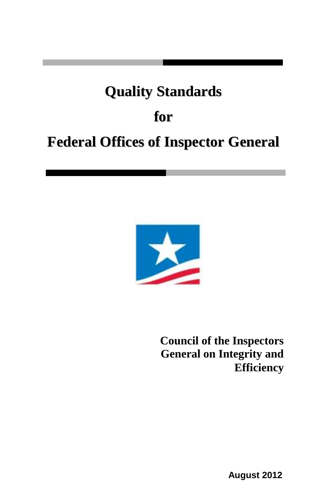# **Quality Standards**

# **for**

# **Federal Offices of Inspector General**



**Council of the Inspectors General on Integrity and Efficiency**

**August 2012**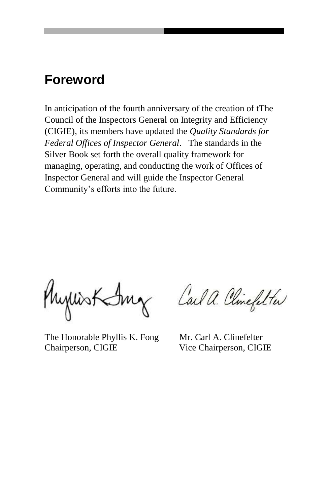## **Foreword**

In anticipation of the fourth anniversary of the creation of tThe Council of the Inspectors General on Integrity and Efficiency (CIGIE), its members have updated the *Quality Standards for Federal Offices of Inspector General*. The standards in the Silver Book set forth the overall quality framework for managing, operating, and conducting the work of Offices of Inspector General and will guide the Inspector General Community's efforts into the future.

Myllist Smg Call a. Clinefilter

The Honorable Phyllis K. Fong Mr. Carl A. Clinefelter Chairperson, CIGIE Vice Chairperson, CIGIE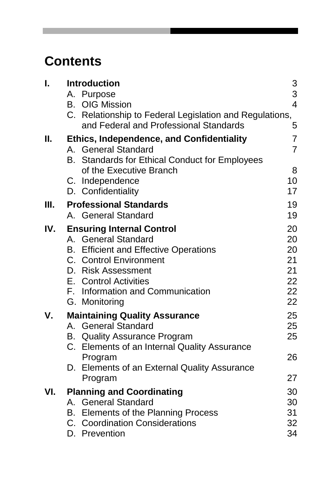# **Contents**

| I.  |    | <b>Introduction</b><br>A. Purpose<br><b>B.</b> OIG Mission<br>C. Relationship to Federal Legislation and Regulations,<br>and Federal and Professional Standards                                                                       | 3<br>3<br>$\overline{4}$<br>5                |
|-----|----|---------------------------------------------------------------------------------------------------------------------------------------------------------------------------------------------------------------------------------------|----------------------------------------------|
| ΙΙ. | B. | <b>Ethics, Independence, and Confidentiality</b><br>A. General Standard<br><b>Standards for Ethical Conduct for Employees</b><br>of the Executive Branch<br>C. Independence<br>D. Confidentiality                                     | 7<br>$\overline{7}$<br>8<br>10<br>17         |
| Ш.  |    | <b>Professional Standards</b><br>A. General Standard                                                                                                                                                                                  | 19<br>19                                     |
| IV. |    | <b>Ensuring Internal Control</b><br>A. General Standard<br><b>B.</b> Efficient and Effective Operations<br>C. Control Environment<br>D. Risk Assessment<br>E. Control Activities<br>F. Information and Communication<br>G. Monitoring | 20<br>20<br>20<br>21<br>21<br>22<br>22<br>22 |
| V.  |    | <b>Maintaining Quality Assurance</b><br>A. General Standard<br><b>B.</b> Quality Assurance Program<br>C. Elements of an Internal Quality Assurance<br>Program<br>D. Elements of an External Quality Assurance<br>Program              | 25<br>25<br>25<br>26<br>27                   |
| VI. |    | <b>Planning and Coordinating</b><br>A. General Standard<br>B. Elements of the Planning Process<br>C. Coordination Considerations<br>D. Prevention                                                                                     | 30<br>30<br>31<br>32<br>34                   |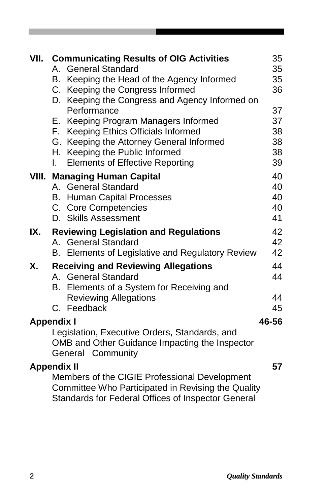| VII. | <b>Communicating Results of OIG Activities</b><br><b>General Standard</b><br>A.                                                                           | 35<br>35 |
|------|-----------------------------------------------------------------------------------------------------------------------------------------------------------|----------|
|      | B. Keeping the Head of the Agency Informed                                                                                                                | 35       |
|      | C. Keeping the Congress Informed                                                                                                                          | 36       |
|      | D. Keeping the Congress and Agency Informed on                                                                                                            |          |
|      | Performance                                                                                                                                               | 37       |
|      | E. Keeping Program Managers Informed                                                                                                                      | 37       |
|      | F. Keeping Ethics Officials Informed                                                                                                                      | 38       |
|      | G. Keeping the Attorney General Informed                                                                                                                  | 38       |
|      | H. Keeping the Public Informed                                                                                                                            | 38       |
|      | <b>Elements of Effective Reporting</b><br>L.                                                                                                              | 39       |
|      | <b>VIII. Managing Human Capital</b>                                                                                                                       | 40       |
|      | A. General Standard                                                                                                                                       | 40       |
|      | <b>B.</b> Human Capital Processes                                                                                                                         | 40       |
|      | C. Core Competencies                                                                                                                                      | 40       |
|      | D. Skills Assessment                                                                                                                                      | 41       |
| IX.  | <b>Reviewing Legislation and Regulations</b>                                                                                                              | 42       |
|      | A. General Standard                                                                                                                                       | 42       |
|      | B. Elements of Legislative and Regulatory Review                                                                                                          | 42       |
| Х.   | <b>Receiving and Reviewing Allegations</b>                                                                                                                | 44       |
|      | A. General Standard                                                                                                                                       | 44       |
|      | B. Elements of a System for Receiving and                                                                                                                 |          |
|      | <b>Reviewing Allegations</b>                                                                                                                              | 44       |
|      | C. Feedback                                                                                                                                               | 45       |
|      | <b>Appendix I</b>                                                                                                                                         | 46-56    |
|      | Legislation, Executive Orders, Standards, and                                                                                                             |          |
|      | OMB and Other Guidance Impacting the Inspector<br>General Community                                                                                       |          |
|      | <b>Appendix II</b>                                                                                                                                        | 57       |
|      | Members of the CIGIE Professional Development<br>Committee Who Participated in Revising the Quality<br>Standards for Federal Offices of Inspector General |          |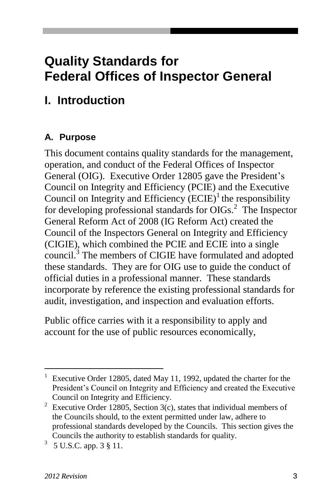## **Quality Standards for Federal Offices of Inspector General**

## **I. Introduction**

#### **A. Purpose**

This document contains quality standards for the management, operation, and conduct of the Federal Offices of Inspector General (OIG). Executive Order 12805 gave the President's Council on Integrity and Efficiency (PCIE) and the Executive Council on Integrity and Efficiency  $(ECIE)^{1}$  the responsibility for developing professional standards for OIGs.<sup>2</sup> The Inspector General Reform Act of 2008 (IG Reform Act) created the Council of the Inspectors General on Integrity and Efficiency (CIGIE), which combined the PCIE and ECIE into a single council.<sup>3</sup> The members of CIGIE have formulated and adopted these standards. They are for OIG use to guide the conduct of official duties in a professional manner. These standards incorporate by reference the existing professional standards for audit, investigation, and inspection and evaluation efforts.

Public office carries with it a responsibility to apply and account for the use of public resources economically,

Executive Order 12805, dated May 11, 1992, updated the charter for the President's Council on Integrity and Efficiency and created the Executive Council on Integrity and Efficiency.

<sup>&</sup>lt;sup>2</sup> Executive Order 12805, Section 3(c), states that individual members of the Councils should, to the extent permitted under law, adhere to professional standards developed by the Councils. This section gives the Councils the authority to establish standards for quality.

 $3\,$  5 U.S.C. app. 3  $\S$  11.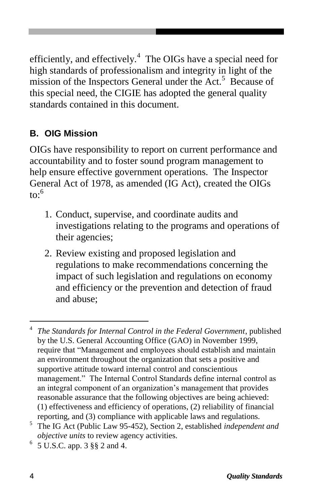efficiently, and effectively.<sup>4</sup> The OIGs have a special need for high standards of professionalism and integrity in light of the mission of the Inspectors General under the Act.<sup>5</sup> Because of this special need, the CIGIE has adopted the general quality standards contained in this document.

#### **B. OIG Mission**

OIGs have responsibility to report on current performance and accountability and to foster sound program management to help ensure effective government operations. The Inspector General Act of 1978, as amended (IG Act), created the OIGs  $\mathrm{to}$ :<sup>6</sup>

- 1. Conduct, supervise, and coordinate audits and investigations relating to the programs and operations of their agencies;
- 2. Review existing and proposed legislation and regulations to make recommendations concerning the impact of such legislation and regulations on economy and efficiency or the prevention and detection of fraud and abuse;

<sup>4</sup> *The Standards for Internal Control in the Federal Government*, published by the U.S. General Accounting Office (GAO) in November 1999, require that "Management and employees should establish and maintain an environment throughout the organization that sets a positive and supportive attitude toward internal control and conscientious management." The Internal Control Standards define internal control as an integral component of an organization's management that provides reasonable assurance that the following objectives are being achieved: (1) effectiveness and efficiency of operations, (2) reliability of financial reporting, and (3) compliance with applicable laws and regulations.

<sup>5</sup> The IG Act (Public Law 95-452), Section 2, established *independent and objective units* to review agency activities.

<sup>6</sup> 5 U.S.C. app. 3 §§ 2 and 4.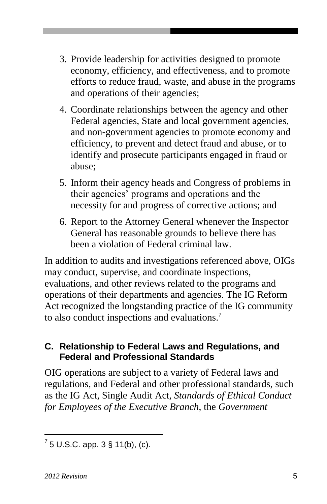- 3. Provide leadership for activities designed to promote economy, efficiency, and effectiveness, and to promote efforts to reduce fraud, waste, and abuse in the programs and operations of their agencies;
- 4. Coordinate relationships between the agency and other Federal agencies, State and local government agencies, and non-government agencies to promote economy and efficiency, to prevent and detect fraud and abuse, or to identify and prosecute participants engaged in fraud or abuse;
- 5. Inform their agency heads and Congress of problems in their agencies' programs and operations and the necessity for and progress of corrective actions; and
- 6. Report to the Attorney General whenever the Inspector General has reasonable grounds to believe there has been a violation of Federal criminal law.

In addition to audits and investigations referenced above, OIGs may conduct, supervise, and coordinate inspections, evaluations, and other reviews related to the programs and operations of their departments and agencies. The IG Reform Act recognized the longstanding practice of the IG community to also conduct inspections and evaluations.<sup>7</sup>

#### **C. Relationship to Federal Laws and Regulations, and Federal and Professional Standards**

OIG operations are subject to a variety of Federal laws and regulations, and Federal and other professional standards, such as the IG Act, Single Audit Act, *Standards of Ethical Conduct for Employees of the Executive Branch*, the *Government* 

l  $^{7}$  5 U.S.C. app. 3 § 11(b), (c).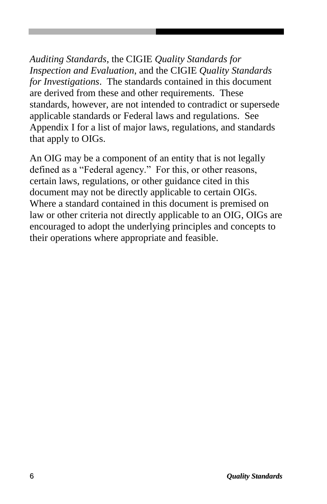*Auditing Standards*, the CIGIE *Quality Standards for Inspection and Evaluation*, and the CIGIE *Quality Standards for Investigations*. The standards contained in this document are derived from these and other requirements. These standards, however, are not intended to contradict or supersede applicable standards or Federal laws and regulations. See Appendix I for a list of major laws, regulations, and standards that apply to OIGs.

An OIG may be a component of an entity that is not legally defined as a "Federal agency." For this, or other reasons, certain laws, regulations, or other guidance cited in this document may not be directly applicable to certain OIGs. Where a standard contained in this document is premised on law or other criteria not directly applicable to an OIG, OIGs are encouraged to adopt the underlying principles and concepts to their operations where appropriate and feasible.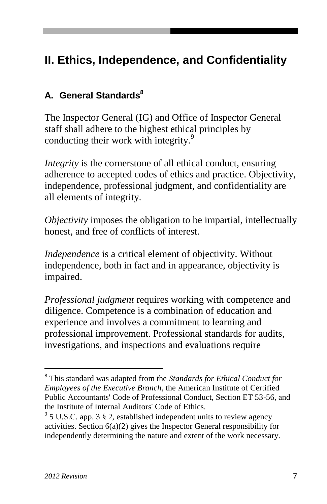## **II. Ethics, Independence, and Confidentiality**

#### **A. General Standards<sup>8</sup>**

The Inspector General (IG) and Office of Inspector General staff shall adhere to the highest ethical principles by conducting their work with integrity.<sup>9</sup>

*Integrity* is the cornerstone of all ethical conduct, ensuring adherence to accepted codes of ethics and practice. Objectivity, independence, professional judgment, and confidentiality are all elements of integrity.

*Objectivity* imposes the obligation to be impartial, intellectually honest, and free of conflicts of interest.

*Independence* is a critical element of objectivity. Without independence, both in fact and in appearance, objectivity is impaired.

*Professional judgment* requires working with competence and diligence. Competence is a combination of education and experience and involves a commitment to learning and professional improvement. Professional standards for audits, investigations, and inspections and evaluations require

<sup>8</sup> This standard was adapted from the *Standards for Ethical Conduct for Employees of the Executive Branch,* the American Institute of Certified Public Accountants' Code of Professional Conduct, Section ET 53-56, and the Institute of Internal Auditors' Code of Ethics.

 $9^9$  5 U.S.C. app. 3 § 2, established independent units to review agency activities. Section  $6(a)(2)$  gives the Inspector General responsibility for independently determining the nature and extent of the work necessary.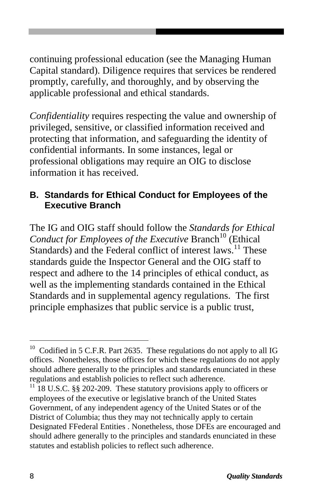continuing professional education (see the Managing Human Capital standard). Diligence requires that services be rendered promptly, carefully, and thoroughly, and by observing the applicable professional and ethical standards.

*Confidentiality* requires respecting the value and ownership of privileged, sensitive, or classified information received and protecting that information, and safeguarding the identity of confidential informants. In some instances, legal or professional obligations may require an OIG to disclose information it has received.

#### **B. Standards for Ethical Conduct for Employees of the Executive Branch**

The IG and OIG staff should follow the *Standards for Ethical Conduct for Employees of the Executive Branch*<sup>10</sup> (Ethical Standards) and the Federal conflict of interest laws.<sup>11</sup> These standards guide the Inspector General and the OIG staff to respect and adhere to the 14 principles of ethical conduct, as well as the implementing standards contained in the Ethical Standards and in supplemental agency regulations. The first principle emphasizes that public service is a public trust,

<sup>&</sup>lt;sup>10</sup> Codified in 5 C.F.R. Part 2635. These regulations do not apply to all IG offices. Nonetheless, those offices for which these regulations do not apply should adhere generally to the principles and standards enunciated in these regulations and establish policies to reflect such adherence.

 $11$  18 U.S.C. §§ 202-209. These statutory provisions apply to officers or employees of the executive or legislative branch of the United States Government, of any independent agency of the United States or of the District of Columbia; thus they may not technically apply to certain Designated FFederal Entities . Nonetheless, those DFEs are encouraged and should adhere generally to the principles and standards enunciated in these statutes and establish policies to reflect such adherence.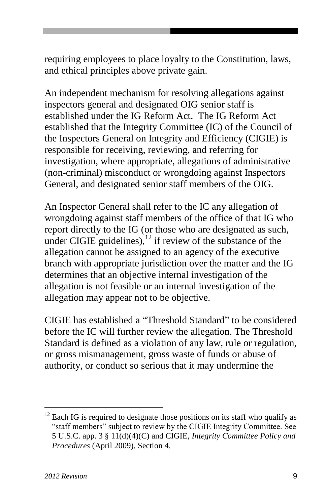requiring employees to place loyalty to the Constitution, laws, and ethical principles above private gain.

An independent mechanism for resolving allegations against inspectors general and designated OIG senior staff is established under the IG Reform Act. The IG Reform Act established that the Integrity Committee (IC) of the Council of the Inspectors General on Integrity and Efficiency (CIGIE) is responsible for receiving, reviewing, and referring for investigation, where appropriate, allegations of administrative (non-criminal) misconduct or wrongdoing against Inspectors General, and designated senior staff members of the OIG.

An Inspector General shall refer to the IC any allegation of wrongdoing against staff members of the office of that IG who report directly to the IG (or those who are designated as such, under CIGIE guidelines),  $^{12}$  if review of the substance of the allegation cannot be assigned to an agency of the executive branch with appropriate jurisdiction over the matter and the IG determines that an objective internal investigation of the allegation is not feasible or an internal investigation of the allegation may appear not to be objective.

CIGIE has established a "Threshold Standard" to be considered before the IC will further review the allegation. The Threshold Standard is defined as a violation of any law, rule or regulation, or gross mismanagement, gross waste of funds or abuse of authority, or conduct so serious that it may undermine the

 $12$  Each IG is required to designate those positions on its staff who qualify as "staff members" subject to review by the CIGIE Integrity Committee. See 5 U.S.C. app. 3 § 11(d)(4)(C) and CIGIE, *Integrity Committee Policy and Procedures* (April 2009), Section 4.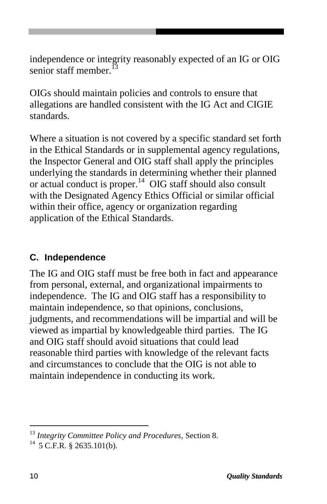independence or integrity reasonably expected of an IG or OIG senior staff member.<sup>13</sup>

OIGs should maintain policies and controls to ensure that allegations are handled consistent with the IG Act and CIGIE standards.

Where a situation is not covered by a specific standard set forth in the Ethical Standards or in supplemental agency regulations, the Inspector General and OIG staff shall apply the principles underlying the standards in determining whether their planned or actual conduct is proper.<sup>14</sup> OIG staff should also consult with the Designated Agency Ethics Official or similar official within their office, agency or organization regarding application of the Ethical Standards.

#### **C. Independence**

The IG and OIG staff must be free both in fact and appearance from personal, external, and organizational impairments to independence. The IG and OIG staff has a responsibility to maintain independence, so that opinions, conclusions, judgments, and recommendations will be impartial and will be viewed as impartial by knowledgeable third parties. The IG and OIG staff should avoid situations that could lead reasonable third parties with knowledge of the relevant facts and circumstances to conclude that the OIG is not able to maintain independence in conducting its work.

<sup>13</sup> *Integrity Committee Policy and Procedures*, Section 8.

 $^{14}$  5 C.F.R. § 2635.101(b).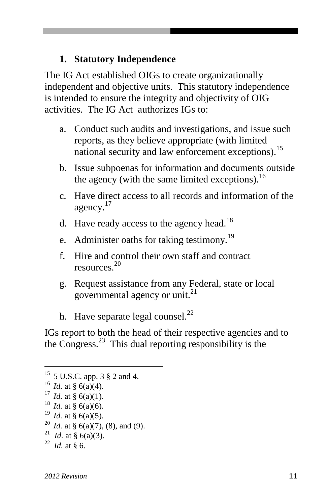#### **1. Statutory Independence**

The IG Act established OIGs to create organizationally independent and objective units. This statutory independence is intended to ensure the integrity and objectivity of OIG activities. The IG Act authorizes IGs to:

- a. Conduct such audits and investigations, and issue such reports, as they believe appropriate (with limited national security and law enforcement exceptions).<sup>15</sup>
- b. Issue subpoenas for information and documents outside the agency (with the same limited exceptions). $^{16}$
- c. Have direct access to all records and information of the agency.<sup>17</sup>
- d. Have ready access to the agency head.<sup>18</sup>
- e. Administer oaths for taking testimony.<sup>19</sup>
- f. Hire and control their own staff and contract resources. 20
- g. Request assistance from any Federal, state or local governmental agency or unit. $^{21}$
- h. Have separate legal counsel. $^{22}$

IGs report to both the head of their respective agencies and to the Congress.<sup>23</sup> This dual reporting responsibility is the

- <sup>20</sup> *Id.* at § 6(a)(7), (8), and (9).
- <sup>21</sup> *Id.* at § 6(a)(3).

<sup>15</sup> 5 U.S.C. app. 3 § 2 and 4.

<sup>&</sup>lt;sup>16</sup> *Id.* at § 6(a)(4).

<sup>&</sup>lt;sup>17</sup> *Id.* at § 6(a)(1).

<sup>&</sup>lt;sup>18</sup> *Id.* at § 6(a)(6).

<sup>19</sup> *Id.* at § 6(a)(5).

 $^{22}$  *Id.* at § 6.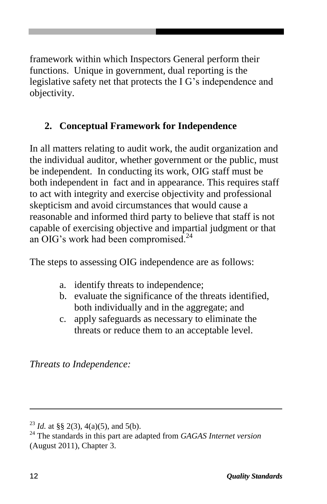framework within which Inspectors General perform their functions. Unique in government, dual reporting is the legislative safety net that protects the I G's independence and objectivity.

### **2. Conceptual Framework for Independence**

In all matters relating to audit work, the audit organization and the individual auditor, whether government or the public, must be independent. In conducting its work, OIG staff must be both independent in fact and in appearance. This requires staff to act with integrity and exercise objectivity and professional skepticism and avoid circumstances that would cause a reasonable and informed third party to believe that staff is not capable of exercising objective and impartial judgment or that an OIG's work had been compromised.<sup>24</sup>

The steps to assessing OIG independence are as follows:

- a. identify threats to independence;
- b. evaluate the significance of the threats identified, both individually and in the aggregate; and
- c. apply safeguards as necessary to eliminate the threats or reduce them to an acceptable level.

*Threats to Independence:*

<sup>&</sup>lt;sup>23</sup> *Id.* at §§ 2(3), 4(a)(5), and 5(b).

<sup>24</sup> The standards in this part are adapted from *GAGAS Internet version* (August 2011), Chapter 3.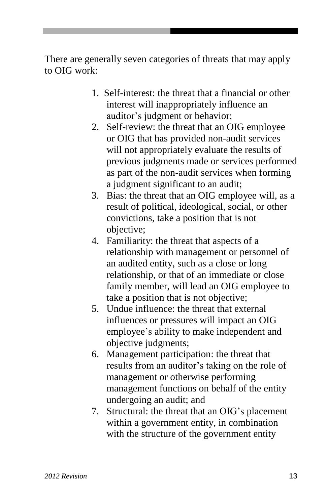There are generally seven categories of threats that may apply to OIG work:

- 1. Self-interest: the threat that a financial or other interest will inappropriately influence an auditor's judgment or behavior;
- 2. Self-review: the threat that an OIG employee or OIG that has provided non-audit services will not appropriately evaluate the results of previous judgments made or services performed as part of the non-audit services when forming a judgment significant to an audit;
- 3. Bias: the threat that an OIG employee will, as a result of political, ideological, social, or other convictions, take a position that is not objective;
- 4. Familiarity: the threat that aspects of a relationship with management or personnel of an audited entity, such as a close or long relationship, or that of an immediate or close family member, will lead an OIG employee to take a position that is not objective;
- 5. Undue influence: the threat that external influences or pressures will impact an OIG employee's ability to make independent and objective judgments;
- 6. Management participation: the threat that results from an auditor's taking on the role of management or otherwise performing management functions on behalf of the entity undergoing an audit; and
- 7. Structural: the threat that an OIG's placement within a government entity, in combination with the structure of the government entity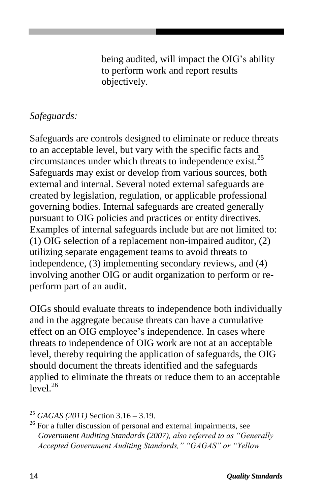being audited, will impact the OIG's ability to perform work and report results objectively.

#### *Safeguards:*

Safeguards are controls designed to eliminate or reduce threats to an acceptable level, but vary with the specific facts and circumstances under which threats to independence exist.<sup>25</sup> Safeguards may exist or develop from various sources, both external and internal. Several noted external safeguards are created by legislation, regulation, or applicable professional governing bodies. Internal safeguards are created generally pursuant to OIG policies and practices or entity directives. Examples of internal safeguards include but are not limited to: (1) OIG selection of a replacement non-impaired auditor, (2) utilizing separate engagement teams to avoid threats to independence, (3) implementing secondary reviews, and (4) involving another OIG or audit organization to perform or reperform part of an audit.

OIGs should evaluate threats to independence both individually and in the aggregate because threats can have a cumulative effect on an OIG employee's independence. In cases where threats to independence of OIG work are not at an acceptable level, thereby requiring the application of safeguards, the OIG should document the threats identified and the safeguards applied to eliminate the threats or reduce them to an acceptable  $level.<sup>26</sup>$ 

<sup>25</sup> *GAGAS (2011)* Section 3.16 – 3.19.

<sup>&</sup>lt;sup>26</sup> For a fuller discussion of personal and external impairments, see *Government Auditing Standards (2007), also referred to as "Generally Accepted Government Auditing Standards," "GAGAS" or "Yellow*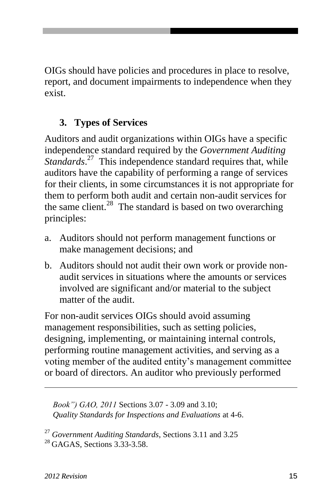OIGs should have policies and procedures in place to resolve, report, and document impairments to independence when they exist.

### **3. Types of Services**

Auditors and audit organizations within OIGs have a specific independence standard required by the *Government Auditing*  Standards.<sup>27</sup> This independence standard requires that, while auditors have the capability of performing a range of services for their clients, in some circumstances it is not appropriate for them to perform both audit and certain non-audit services for the same client.<sup>28</sup> The standard is based on two overarching principles:

- a. Auditors should not perform management functions or make management decisions; and
- b. Auditors should not audit their own work or provide nonaudit services in situations where the amounts or services involved are significant and/or material to the subject matter of the audit.

For non-audit services OIGs should avoid assuming management responsibilities, such as setting policies, designing, implementing, or maintaining internal controls, performing routine management activities, and serving as a voting member of the audited entity's management committee or board of directors. An auditor who previously performed

 *Book") GAO, 2011* Sections 3.07 - 3.09 and 3.10; *Quality Standards for Inspections and Evaluations* at 4-6.

<sup>27</sup> *Government Auditing Standards*, Sections 3.11 and 3.25  $^{28}$  GAGAS, Sections 3.33-3.58.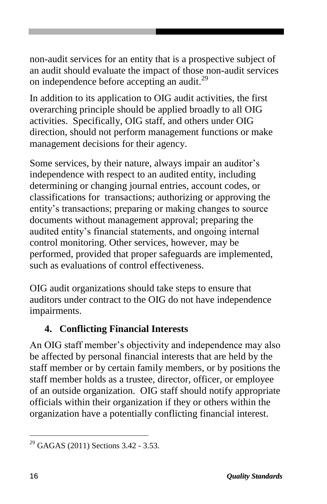non-audit services for an entity that is a prospective subject of an audit should evaluate the impact of those non-audit services on independence before accepting an audit.<sup>29</sup>

In addition to its application to OIG audit activities, the first overarching principle should be applied broadly to all OIG activities. Specifically, OIG staff, and others under OIG direction, should not perform management functions or make management decisions for their agency.

Some services, by their nature, always impair an auditor's independence with respect to an audited entity, including determining or changing journal entries, account codes, or classifications for transactions; authorizing or approving the entity's transactions; preparing or making changes to source documents without management approval; preparing the audited entity's financial statements, and ongoing internal control monitoring. Other services, however, may be performed, provided that proper safeguards are implemented, such as evaluations of control effectiveness.

OIG audit organizations should take steps to ensure that auditors under contract to the OIG do not have independence impairments.

#### **4. Conflicting Financial Interests**

An OIG staff member's objectivity and independence may also be affected by personal financial interests that are held by the staff member or by certain family members, or by positions the staff member holds as a trustee, director, officer, or employee of an outside organization. OIG staff should notify appropriate officials within their organization if they or others within the organization have a potentially conflicting financial interest.

<sup>&</sup>lt;sup>29</sup> GAGAS (2011) Sections 3.42 - 3.53.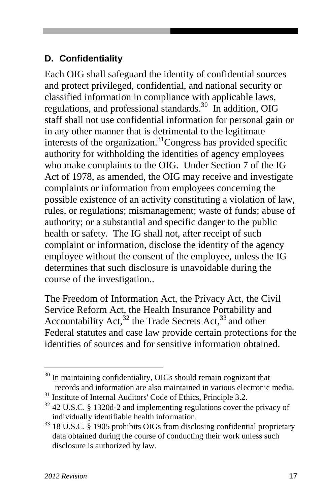#### **D. Confidentiality**

Each OIG shall safeguard the identity of confidential sources and protect privileged, confidential, and national security or classified information in compliance with applicable laws, regulations, and professional standards. 30 In addition, OIG staff shall not use confidential information for personal gain or in any other manner that is detrimental to the legitimate interests of the organization.<sup>31</sup>Congress has provided specific authority for withholding the identities of agency employees who make complaints to the OIG. Under Section 7 of the IG Act of 1978, as amended, the OIG may receive and investigate complaints or information from employees concerning the possible existence of an activity constituting a violation of law, rules, or regulations; mismanagement; waste of funds; abuse of authority; or a substantial and specific danger to the public health or safety. The IG shall not, after receipt of such complaint or information, disclose the identity of the agency employee without the consent of the employee, unless the IG determines that such disclosure is unavoidable during the course of the investigation..

The Freedom of Information Act, the Privacy Act, the Civil Service Reform Act, the Health Insurance Portability and Accountability Act,  $32$  the Trade Secrets Act,  $33$  and other Federal statutes and case law provide certain protections for the identities of sources and for sensitive information obtained.

<sup>&</sup>lt;sup>30</sup> In maintaining confidentiality, OIGs should remain cognizant that records and information are also maintained in various electronic media.

<sup>&</sup>lt;sup>31</sup> Institute of Internal Auditors' Code of Ethics, Principle 3.2.

 $32$  42 U.S.C. § 1320d-2 and implementing regulations cover the privacy of individually identifiable health information.

<sup>33</sup> 18 U.S.C. § 1905 prohibits OIGs from disclosing confidential proprietary data obtained during the course of conducting their work unless such disclosure is authorized by law.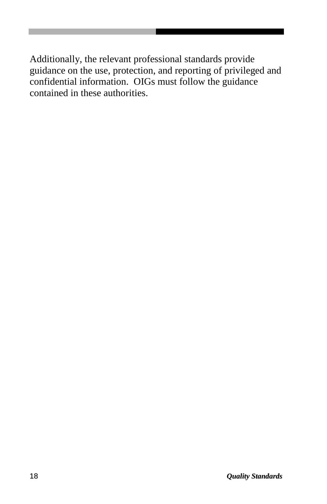Additionally, the relevant professional standards provide guidance on the use, protection, and reporting of privileged and confidential information. OIGs must follow the guidance contained in these authorities.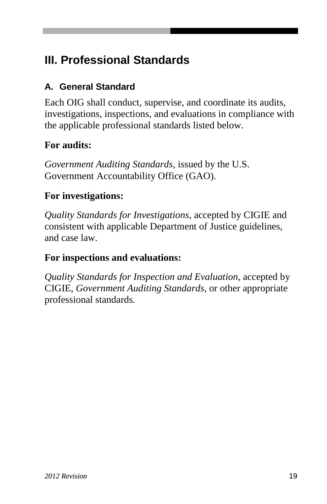## **III. Professional Standards**

### **A. General Standard**

Each OIG shall conduct, supervise, and coordinate its audits, investigations, inspections, and evaluations in compliance with the applicable professional standards listed below.

### **For audits:**

*Government Auditing Standards*, issued by the U.S. Government Accountability Office (GAO).

#### **For investigations:**

*Quality Standards for Investigations*, accepted by CIGIE and consistent with applicable Department of Justice guidelines, and case law.

#### **For inspections and evaluations:**

*Quality Standards for Inspection and Evaluation*, accepted by CIGIE, *Government Auditing Standards*, or other appropriate professional standards.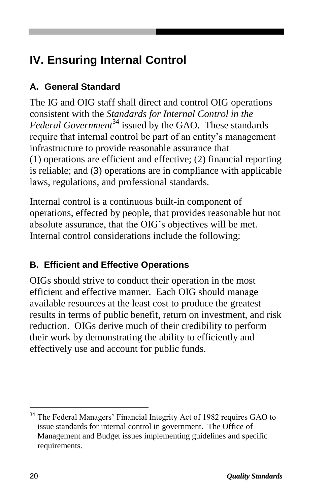## **IV. Ensuring Internal Control**

### **A. General Standard**

The IG and OIG staff shall direct and control OIG operations consistent with the *Standards for Internal Control in the Federal Government*<sup>34</sup> issued by the GAO. These standards require that internal control be part of an entity's management infrastructure to provide reasonable assurance that (1) operations are efficient and effective; (2) financial reporting is reliable; and (3) operations are in compliance with applicable laws, regulations, and professional standards.

Internal control is a continuous built-in component of operations, effected by people, that provides reasonable but not absolute assurance, that the OIG's objectives will be met. Internal control considerations include the following:

## **B. Efficient and Effective Operations**

OIGs should strive to conduct their operation in the most efficient and effective manner. Each OIG should manage available resources at the least cost to produce the greatest results in terms of public benefit, return on investment, and risk reduction. OIGs derive much of their credibility to perform their work by demonstrating the ability to efficiently and effectively use and account for public funds.

<sup>&</sup>lt;sup>34</sup> The Federal Managers' Financial Integrity Act of 1982 requires GAO to issue standards for internal control in government. The Office of Management and Budget issues implementing guidelines and specific requirements.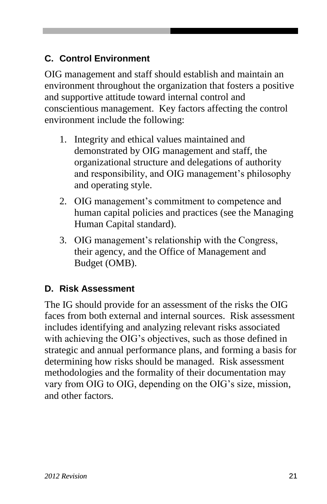#### **C. Control Environment**

OIG management and staff should establish and maintain an environment throughout the organization that fosters a positive and supportive attitude toward internal control and conscientious management. Key factors affecting the control environment include the following:

- 1. Integrity and ethical values maintained and demonstrated by OIG management and staff, the organizational structure and delegations of authority and responsibility, and OIG management's philosophy and operating style.
- 2. OIG management's commitment to competence and human capital policies and practices (see the Managing Human Capital standard).
- 3. OIG management's relationship with the Congress, their agency, and the Office of Management and Budget (OMB).

#### **D. Risk Assessment**

The IG should provide for an assessment of the risks the OIG faces from both external and internal sources. Risk assessment includes identifying and analyzing relevant risks associated with achieving the OIG's objectives, such as those defined in strategic and annual performance plans, and forming a basis for determining how risks should be managed. Risk assessment methodologies and the formality of their documentation may vary from OIG to OIG, depending on the OIG's size, mission, and other factors.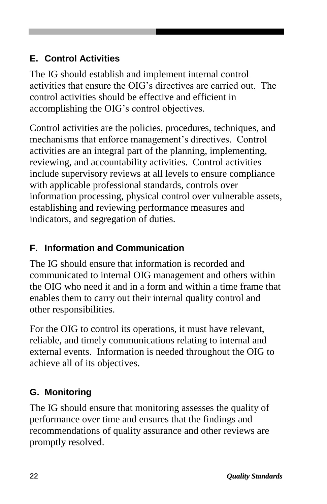#### **E. Control Activities**

The IG should establish and implement internal control activities that ensure the OIG's directives are carried out. The control activities should be effective and efficient in accomplishing the OIG's control objectives.

Control activities are the policies, procedures, techniques, and mechanisms that enforce management's directives. Control activities are an integral part of the planning, implementing, reviewing, and accountability activities. Control activities include supervisory reviews at all levels to ensure compliance with applicable professional standards, controls over information processing, physical control over vulnerable assets, establishing and reviewing performance measures and indicators, and segregation of duties.

#### **F. Information and Communication**

The IG should ensure that information is recorded and communicated to internal OIG management and others within the OIG who need it and in a form and within a time frame that enables them to carry out their internal quality control and other responsibilities.

For the OIG to control its operations, it must have relevant, reliable, and timely communications relating to internal and external events. Information is needed throughout the OIG to achieve all of its objectives.

### **G. Monitoring**

The IG should ensure that monitoring assesses the quality of performance over time and ensures that the findings and recommendations of quality assurance and other reviews are promptly resolved.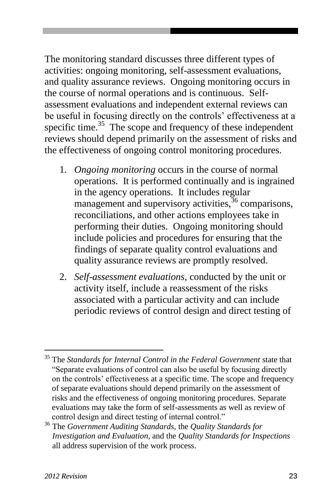The monitoring standard discusses three different types of activities: ongoing monitoring, self-assessment evaluations, and quality assurance reviews. Ongoing monitoring occurs in the course of normal operations and is continuous. Selfassessment evaluations and independent external reviews can be useful in focusing directly on the controls' effectiveness at a specific time. $35$  The scope and frequency of these independent reviews should depend primarily on the assessment of risks and the effectiveness of ongoing control monitoring procedures.

- 1. *Ongoing monitoring* occurs in the course of normal operations. It is performed continually and is ingrained in the agency operations. It includes regular management and supervisory activities,  $36$  comparisons, reconciliations, and other actions employees take in performing their duties. Ongoing monitoring should include policies and procedures for ensuring that the findings of separate quality control evaluations and quality assurance reviews are promptly resolved.
- 2. *Self-assessment evaluations*, conducted by the unit or activity itself, include a reassessment of the risks associated with a particular activity and can include periodic reviews of control design and direct testing of

 $\overline{a}$ 

<sup>35</sup> The *Standards for Internal Control in the Federal Government* state that "Separate evaluations of control can also be useful by focusing directly on the controls' effectiveness at a specific time. The scope and frequency of separate evaluations should depend primarily on the assessment of risks and the effectiveness of ongoing monitoring procedures. Separate evaluations may take the form of self-assessments as well as review of control design and direct testing of internal control."

<sup>36</sup> The *Government Auditing Standards,* the *Quality Standards for Investigation and Evaluation*, and the *Quality Standards for Inspections*  all address supervision of the work process.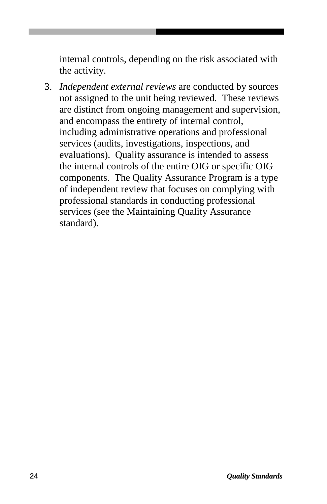internal controls, depending on the risk associated with the activity.

3. *Independent external reviews* are conducted by sources not assigned to the unit being reviewed. These reviews are distinct from ongoing management and supervision, and encompass the entirety of internal control, including administrative operations and professional services (audits, investigations, inspections, and evaluations). Quality assurance is intended to assess the internal controls of the entire OIG or specific OIG components. The Quality Assurance Program is a type of independent review that focuses on complying with professional standards in conducting professional services (see the Maintaining Quality Assurance standard).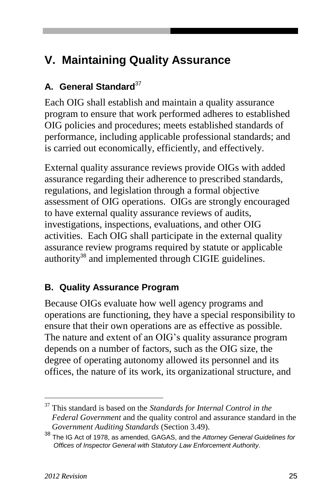## **V. Maintaining Quality Assurance**

#### **A. General Standard**<sup>37</sup>

Each OIG shall establish and maintain a quality assurance program to ensure that work performed adheres to established OIG policies and procedures; meets established standards of performance, including applicable professional standards; and is carried out economically, efficiently, and effectively.

External quality assurance reviews provide OIGs with added assurance regarding their adherence to prescribed standards, regulations, and legislation through a formal objective assessment of OIG operations. OIGs are strongly encouraged to have external quality assurance reviews of audits, investigations, inspections, evaluations, and other OIG activities. Each OIG shall participate in the external quality assurance review programs required by statute or applicable authority<sup>38</sup> and implemented through CIGIE guidelines.

#### **B. Quality Assurance Program**

Because OIGs evaluate how well agency programs and operations are functioning, they have a special responsibility to ensure that their own operations are as effective as possible. The nature and extent of an OIG's quality assurance program depends on a number of factors, such as the OIG size, the degree of operating autonomy allowed its personnel and its offices, the nature of its work, its organizational structure, and

<sup>37</sup> This standard is based on the *Standards for Internal Control in the Federal Government* and the quality control and assurance standard in the *Government Auditing Standards* (Section 3.49).

<sup>38</sup> The IG Act of 1978, as amended, GAGAS, and the *Attorney General Guidelines for Offices of Inspector General with Statutory Law Enforcement Authority*.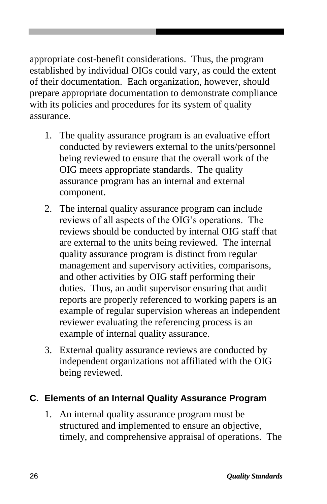appropriate cost-benefit considerations. Thus, the program established by individual OIGs could vary, as could the extent of their documentation. Each organization, however, should prepare appropriate documentation to demonstrate compliance with its policies and procedures for its system of quality assurance.

- 1. The quality assurance program is an evaluative effort conducted by reviewers external to the units/personnel being reviewed to ensure that the overall work of the OIG meets appropriate standards. The quality assurance program has an internal and external component.
- 2. The internal quality assurance program can include reviews of all aspects of the OIG's operations. The reviews should be conducted by internal OIG staff that are external to the units being reviewed. The internal quality assurance program is distinct from regular management and supervisory activities, comparisons, and other activities by OIG staff performing their duties. Thus, an audit supervisor ensuring that audit reports are properly referenced to working papers is an example of regular supervision whereas an independent reviewer evaluating the referencing process is an example of internal quality assurance.
- 3. External quality assurance reviews are conducted by independent organizations not affiliated with the OIG being reviewed.

#### **C. Elements of an Internal Quality Assurance Program**

1. An internal quality assurance program must be structured and implemented to ensure an objective, timely, and comprehensive appraisal of operations. The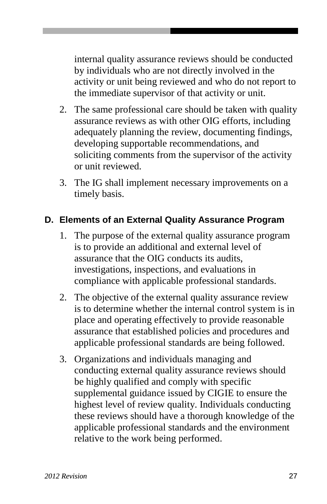internal quality assurance reviews should be conducted by individuals who are not directly involved in the activity or unit being reviewed and who do not report to the immediate supervisor of that activity or unit.

- 2. The same professional care should be taken with quality assurance reviews as with other OIG efforts, including adequately planning the review, documenting findings, developing supportable recommendations, and soliciting comments from the supervisor of the activity or unit reviewed.
- 3. The IG shall implement necessary improvements on a timely basis.

#### **D. Elements of an External Quality Assurance Program**

- 1. The purpose of the external quality assurance program is to provide an additional and external level of assurance that the OIG conducts its audits, investigations, inspections, and evaluations in compliance with applicable professional standards.
- 2. The objective of the external quality assurance review is to determine whether the internal control system is in place and operating effectively to provide reasonable assurance that established policies and procedures and applicable professional standards are being followed.
- 3. Organizations and individuals managing and conducting external quality assurance reviews should be highly qualified and comply with specific supplemental guidance issued by CIGIE to ensure the highest level of review quality. Individuals conducting these reviews should have a thorough knowledge of the applicable professional standards and the environment relative to the work being performed.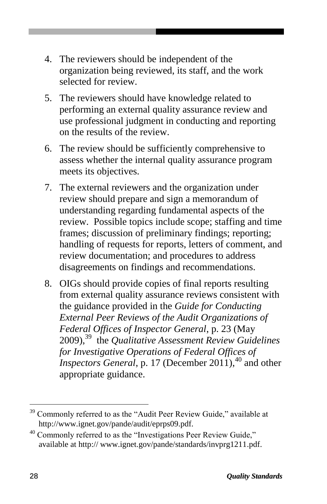- 4. The reviewers should be independent of the organization being reviewed, its staff, and the work selected for review.
- 5. The reviewers should have knowledge related to performing an external quality assurance review and use professional judgment in conducting and reporting on the results of the review.
- 6. The review should be sufficiently comprehensive to assess whether the internal quality assurance program meets its objectives.
- 7. The external reviewers and the organization under review should prepare and sign a memorandum of understanding regarding fundamental aspects of the review. Possible topics include scope; staffing and time frames; discussion of preliminary findings; reporting; handling of requests for reports, letters of comment, and review documentation; and procedures to address disagreements on findings and recommendations.
- 8. OIGs should provide copies of final reports resulting from external quality assurance reviews consistent with the guidance provided in the *Guide for Conducting External Peer Reviews of the Audit Organizations of Federal Offices of Inspector General*, p. 23 (May 2009), <sup>39</sup> the *Qualitative Assessment Review Guidelines for Investigative Operations of Federal Offices of Inspectors General*, p. 17 (December 2011), <sup>40</sup> and other appropriate guidance.

<sup>&</sup>lt;sup>39</sup> Commonly referred to as the "Audit Peer Review Guide," available at http://www.ignet.gov/pande/audit/eprps09.pdf.

 $40$  Commonly referred to as the "Investigations Peer Review Guide," available at http:// www.ignet.gov/pande/standards/invprg1211.pdf.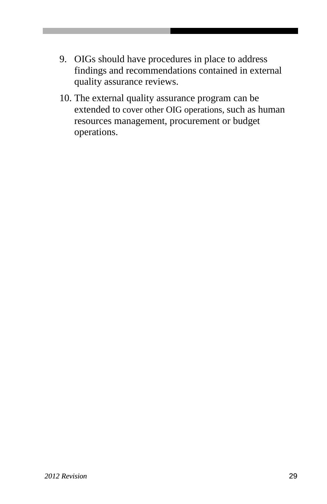- 9. OIGs should have procedures in place to address findings and recommendations contained in external quality assurance reviews.
- 10. The external quality assurance program can be extended to cover other OIG operations, such as human resources management, procurement or budget operations.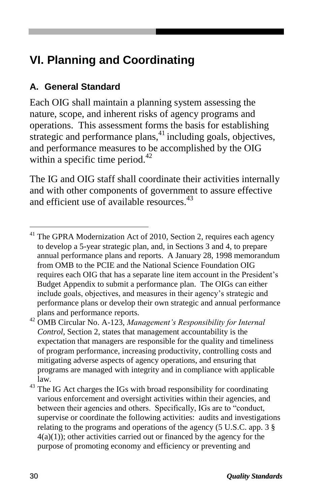## **VI. Planning and Coordinating**

#### **A. General Standard**

Each OIG shall maintain a planning system assessing the nature, scope, and inherent risks of agency programs and operations. This assessment forms the basis for establishing strategic and performance plans,<sup>41</sup> including goals, objectives, and performance measures to be accomplished by the OIG within a specific time period. $^{42}$ 

The IG and OIG staff shall coordinate their activities internally and with other components of government to assure effective and efficient use of available resources.<sup>43</sup>

<sup>&</sup>lt;sup>41</sup> The GPRA Modernization Act of 2010, Section 2, requires each agency to develop a 5-year strategic plan, and, in Sections 3 and 4, to prepare annual performance plans and reports. A January 28, 1998 memorandum from OMB to the PCIE and the National Science Foundation OIG requires each OIG that has a separate line item account in the President's Budget Appendix to submit a performance plan. The OIGs can either include goals, objectives, and measures in their agency's strategic and performance plans or develop their own strategic and annual performance plans and performance reports.

<sup>42</sup> OMB Circular No. A-123, *Management's Responsibility for Internal Control*, Section 2, states that management accountability is the expectation that managers are responsible for the quality and timeliness of program performance, increasing productivity, controlling costs and mitigating adverse aspects of agency operations, and ensuring that programs are managed with integrity and in compliance with applicable law.

<sup>&</sup>lt;sup>43</sup> The IG Act charges the IGs with broad responsibility for coordinating various enforcement and oversight activities within their agencies, and between their agencies and others. Specifically, IGs are to "conduct, supervise or coordinate the following activities: audits and investigations relating to the programs and operations of the agency (5 U.S.C. app. 3 §  $4(a)(1)$ ; other activities carried out or financed by the agency for the purpose of promoting economy and efficiency or preventing and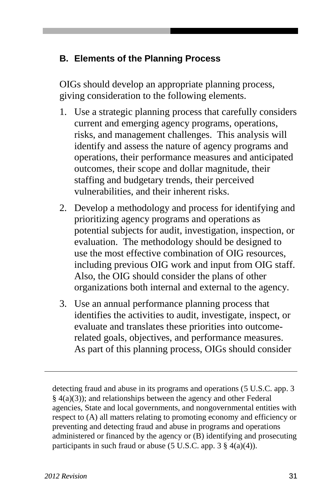#### **B. Elements of the Planning Process**

OIGs should develop an appropriate planning process, giving consideration to the following elements.

- 1. Use a strategic planning process that carefully considers current and emerging agency programs, operations, risks, and management challenges. This analysis will identify and assess the nature of agency programs and operations, their performance measures and anticipated outcomes, their scope and dollar magnitude, their staffing and budgetary trends, their perceived vulnerabilities, and their inherent risks.
- 2. Develop a methodology and process for identifying and prioritizing agency programs and operations as potential subjects for audit, investigation, inspection, or evaluation. The methodology should be designed to use the most effective combination of OIG resources, including previous OIG work and input from OIG staff. Also, the OIG should consider the plans of other organizations both internal and external to the agency.
- 3. Use an annual performance planning process that identifies the activities to audit, investigate, inspect, or evaluate and translates these priorities into outcomerelated goals, objectives, and performance measures. As part of this planning process, OIGs should consider

detecting fraud and abuse in its programs and operations (5 U.S.C. app. 3 § 4(a)(3)); and relationships between the agency and other Federal agencies, State and local governments, and nongovernmental entities with respect to (A) all matters relating to promoting economy and efficiency or preventing and detecting fraud and abuse in programs and operations administered or financed by the agency or (B) identifying and prosecuting participants in such fraud or abuse (5 U.S.C. app.  $3 \frac{8}{9}$  4(a)(4)).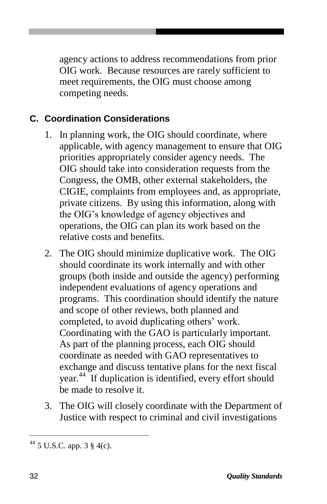agency actions to address recommendations from prior OIG work. Because resources are rarely sufficient to meet requirements, the OIG must choose among competing needs.

#### **C. Coordination Considerations**

- 1. In planning work, the OIG should coordinate, where applicable, with agency management to ensure that OIG priorities appropriately consider agency needs. The OIG should take into consideration requests from the Congress, the OMB, other external stakeholders, the CIGIE, complaints from employees and, as appropriate, private citizens. By using this information, along with the OIG's knowledge of agency objectives and operations, the OIG can plan its work based on the relative costs and benefits.
- 2. The OIG should minimize duplicative work. The OIG should coordinate its work internally and with other groups (both inside and outside the agency) performing independent evaluations of agency operations and programs. This coordination should identify the nature and scope of other reviews, both planned and completed, to avoid duplicating others' work. Coordinating with the GAO is particularly important. As part of the planning process, each OIG should coordinate as needed with GAO representatives to exchange and discuss tentative plans for the next fiscal year.<sup>44</sup> If duplication is identified, every effort should be made to resolve it.
- 3. The OIG will closely coordinate with the Department of Justice with respect to criminal and civil investigations

<sup>44</sup> 5 U.S.C. app. 3 § 4(c).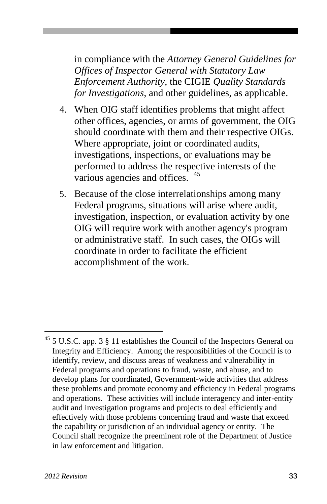in compliance with the *Attorney General Guidelines for Offices of Inspector General with Statutory Law Enforcement Authority*, the CIGIE *Quality Standards for Investigations*, and other guidelines, as applicable.

- 4. When OIG staff identifies problems that might affect other offices, agencies, or arms of government, the OIG should coordinate with them and their respective OIGs. Where appropriate, joint or coordinated audits, investigations, inspections, or evaluations may be performed to address the respective interests of the various agencies and offices. <sup>45</sup>
- 5. Because of the close interrelationships among many Federal programs, situations will arise where audit, investigation, inspection, or evaluation activity by one OIG will require work with another agency's program or administrative staff. In such cases, the OIGs will coordinate in order to facilitate the efficient accomplishment of the work.

 $^{45}$  5 U.S.C. app. 3  $\S$  11 establishes the Council of the Inspectors General on Integrity and Efficiency. Among the responsibilities of the Council is to identify, review, and discuss areas of weakness and vulnerability in Federal programs and operations to fraud, waste, and abuse, and to develop plans for coordinated, Government-wide activities that address these problems and promote economy and efficiency in Federal programs and operations. These activities will include interagency and inter-entity audit and investigation programs and projects to deal efficiently and effectively with those problems concerning fraud and waste that exceed the capability or jurisdiction of an individual agency or entity. The Council shall recognize the preeminent role of the Department of Justice in law enforcement and litigation.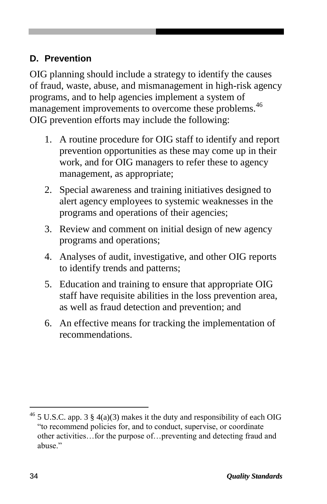#### **D. Prevention**

OIG planning should include a strategy to identify the causes of fraud, waste, abuse, and mismanagement in high-risk agency programs, and to help agencies implement a system of management improvements to overcome these problems.<sup>46</sup> OIG prevention efforts may include the following:

- 1. A routine procedure for OIG staff to identify and report prevention opportunities as these may come up in their work, and for OIG managers to refer these to agency management, as appropriate;
- 2. Special awareness and training initiatives designed to alert agency employees to systemic weaknesses in the programs and operations of their agencies;
- 3. Review and comment on initial design of new agency programs and operations;
- 4. Analyses of audit, investigative, and other OIG reports to identify trends and patterns;
- 5. Education and training to ensure that appropriate OIG staff have requisite abilities in the loss prevention area, as well as fraud detection and prevention; and
- 6. An effective means for tracking the implementation of recommendations.

<sup>&</sup>lt;sup>46</sup> 5 U.S.C. app. 3 § 4(a)(3) makes it the duty and responsibility of each OIG "to recommend policies for, and to conduct, supervise, or coordinate other activities…for the purpose of…preventing and detecting fraud and abuse."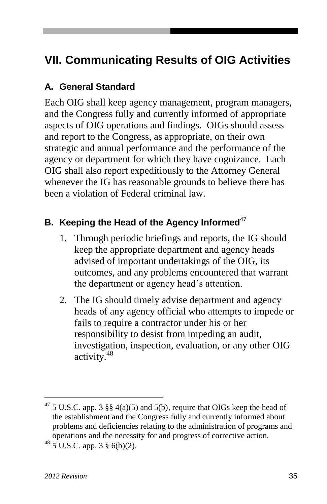## **VII. Communicating Results of OIG Activities**

#### **A. General Standard**

Each OIG shall keep agency management, program managers, and the Congress fully and currently informed of appropriate aspects of OIG operations and findings. OIGs should assess and report to the Congress, as appropriate, on their own strategic and annual performance and the performance of the agency or department for which they have cognizance. Each OIG shall also report expeditiously to the Attorney General whenever the IG has reasonable grounds to believe there has been a violation of Federal criminal law.

#### **B.** Keeping the Head of the Agency Informed<sup>47</sup>

- 1. Through periodic briefings and reports, the IG should keep the appropriate department and agency heads advised of important undertakings of the OIG, its outcomes, and any problems encountered that warrant the department or agency head's attention.
- 2. The IG should timely advise department and agency heads of any agency official who attempts to impede or fails to require a contractor under his or her responsibility to desist from impeding an audit, investigation, inspection, evaluation, or any other OIG activity.<sup>48</sup>

<sup>&</sup>lt;sup>47</sup> 5 U.S.C. app. 3 §§ 4(a)(5) and 5(b), require that OIGs keep the head of the establishment and the Congress fully and currently informed about problems and deficiencies relating to the administration of programs and operations and the necessity for and progress of corrective action. <sup>48</sup> 5 U.S.C. app. 3 § 6(b)(2).

*<sup>2012</sup> Revision* 35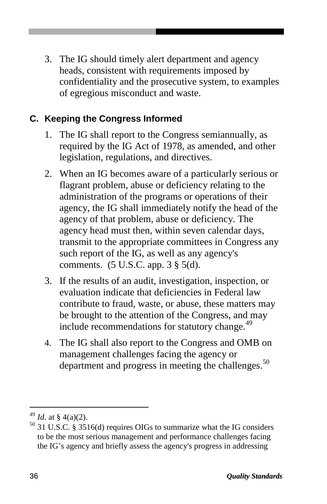3. The IG should timely alert department and agency heads, consistent with requirements imposed by confidentiality and the prosecutive system, to examples of egregious misconduct and waste.

#### **C. Keeping the Congress Informed**

- 1. The IG shall report to the Congress semiannually, as required by the IG Act of 1978, as amended, and other legislation, regulations, and directives.
- 2. When an IG becomes aware of a particularly serious or flagrant problem, abuse or deficiency relating to the administration of the programs or operations of their agency, the IG shall immediately notify the head of the agency of that problem, abuse or deficiency. The agency head must then, within seven calendar days, transmit to the appropriate committees in Congress any such report of the IG, as well as any agency's comments. (5 U.S.C. app. 3 § 5(d).
- 3. If the results of an audit, investigation, inspection, or evaluation indicate that deficiencies in Federal law contribute to fraud, waste, or abuse, these matters may be brought to the attention of the Congress, and may include recommendations for statutory change.<sup>49</sup>
- 4. The IG shall also report to the Congress and OMB on management challenges facing the agency or department and progress in meeting the challenges.<sup>50</sup>

<sup>&</sup>lt;sup>49</sup> *Id.* at § 4(a)(2).

 $50$  31 U.S.C. § 3516(d) requires OIGs to summarize what the IG considers to be the most serious management and performance challenges facing the IG's agency and briefly assess the agency's progress in addressing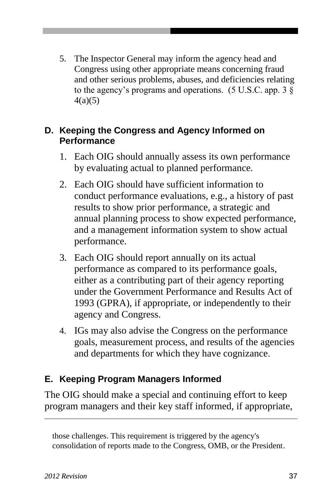5. The Inspector General may inform the agency head and Congress using other appropriate means concerning fraud and other serious problems, abuses, and deficiencies relating to the agency's programs and operations. (5 U.S.C. app. 3 § 4(a)(5)

#### **D. Keeping the Congress and Agency Informed on Performance**

- 1. Each OIG should annually assess its own performance by evaluating actual to planned performance.
- 2. Each OIG should have sufficient information to conduct performance evaluations, e.g., a history of past results to show prior performance, a strategic and annual planning process to show expected performance, and a management information system to show actual performance.
- 3. Each OIG should report annually on its actual performance as compared to its performance goals, either as a contributing part of their agency reporting under the Government Performance and Results Act of 1993 (GPRA), if appropriate, or independently to their agency and Congress.
- 4. IGs may also advise the Congress on the performance goals, measurement process, and results of the agencies and departments for which they have cognizance.

#### **E. Keeping Program Managers Informed**

The OIG should make a special and continuing effort to keep program managers and their key staff informed, if appropriate,

those challenges. This requirement is triggered by the agency's consolidation of reports made to the Congress, OMB, or the President.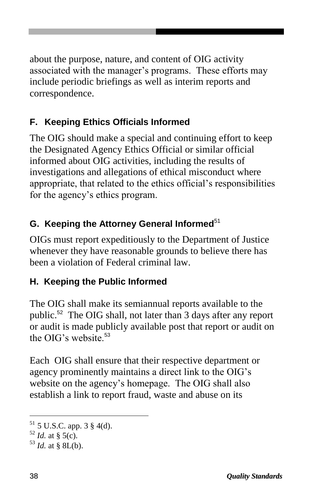about the purpose, nature, and content of OIG activity associated with the manager's programs. These efforts may include periodic briefings as well as interim reports and correspondence.

### **F. Keeping Ethics Officials Informed**

The OIG should make a special and continuing effort to keep the Designated Agency Ethics Official or similar official informed about OIG activities, including the results of investigations and allegations of ethical misconduct where appropriate, that related to the ethics official's responsibilities for the agency's ethics program.

## **G.** Keeping the Attorney General Informed<sup>51</sup>

OIGs must report expeditiously to the Department of Justice whenever they have reasonable grounds to believe there has been a violation of Federal criminal law.

## **H. Keeping the Public Informed**

The OIG shall make its semiannual reports available to the public.<sup>52</sup> The OIG shall, not later than 3 days after any report or audit is made publicly available post that report or audit on the OIG's website<sup>53</sup>

Each OIG shall ensure that their respective department or agency prominently maintains a direct link to the OIG's website on the agency's homepage. The OIG shall also establish a link to report fraud, waste and abuse on its

<sup>51</sup> 5 U.S.C. app. 3 § 4(d).

 $52$  *Id.* at § 5(c).

 $^{53}$  *Id.* at § 8L(b).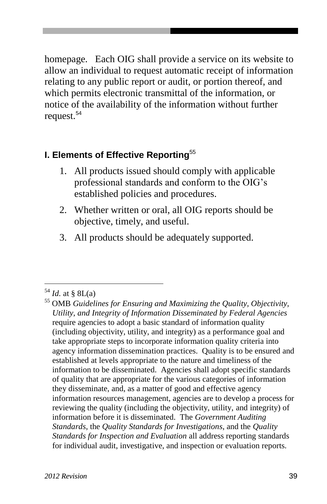homepage. Each OIG shall provide a service on its website to allow an individual to request automatic receipt of information relating to any public report or audit, or portion thereof, and which permits electronic transmittal of the information, or notice of the availability of the information without further request.<sup>54</sup>

#### **I. Elements of Effective Reporting**<sup>55</sup>

- 1. All products issued should comply with applicable professional standards and conform to the OIG's established policies and procedures.
- 2. Whether written or oral, all OIG reports should be objective, timely, and useful.
- 3. All products should be adequately supported.

 $54$  *Id.* at § 8L(a)

<sup>55</sup> OMB *Guidelines for Ensuring and Maximizing the Quality, Objectivity, Utility, and Integrity of Information Disseminated by Federal Agencies* require agencies to adopt a basic standard of information quality (including objectivity, utility, and integrity) as a performance goal and take appropriate steps to incorporate information quality criteria into agency information dissemination practices. Quality is to be ensured and established at levels appropriate to the nature and timeliness of the information to be disseminated. Agencies shall adopt specific standards of quality that are appropriate for the various categories of information they disseminate, and, as a matter of good and effective agency information resources management, agencies are to develop a process for reviewing the quality (including the objectivity, utility, and integrity) of information before it is disseminated. The *Government Auditing Standards*, the *Quality Standards for Investigations*, and the *Quality Standards for Inspection and Evaluation* all address reporting standards for individual audit, investigative, and inspection or evaluation reports.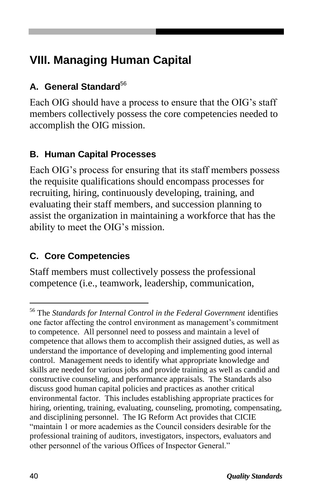## **VIII. Managing Human Capital**

#### **A. General Standard**<sup>56</sup>

Each OIG should have a process to ensure that the OIG's staff members collectively possess the core competencies needed to accomplish the OIG mission.

#### **B. Human Capital Processes**

Each OIG's process for ensuring that its staff members possess the requisite qualifications should encompass processes for recruiting, hiring, continuously developing, training, and evaluating their staff members, and succession planning to assist the organization in maintaining a workforce that has the ability to meet the OIG's mission.

#### **C. Core Competencies**

Staff members must collectively possess the professional competence (i.e., teamwork, leadership, communication,

 $\overline{a}$ 

<sup>56</sup> The *Standards for Internal Control in the Federal Government* identifies one factor affecting the control environment as management's commitment to competence. All personnel need to possess and maintain a level of competence that allows them to accomplish their assigned duties, as well as understand the importance of developing and implementing good internal control. Management needs to identify what appropriate knowledge and skills are needed for various jobs and provide training as well as candid and constructive counseling, and performance appraisals. The Standards also discuss good human capital policies and practices as another critical environmental factor. This includes establishing appropriate practices for hiring, orienting, training, evaluating, counseling, promoting, compensating, and disciplining personnel. The IG Reform Act provides that CICIE "maintain 1 or more academies as the Council considers desirable for the professional training of auditors, investigators, inspectors, evaluators and other personnel of the various Offices of Inspector General."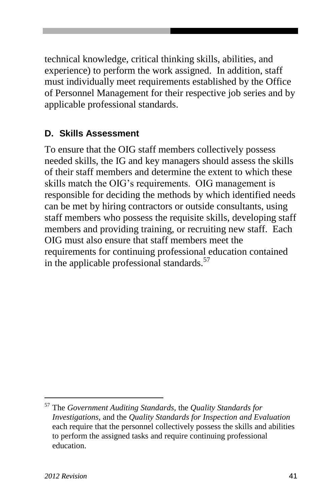technical knowledge, critical thinking skills, abilities, and experience) to perform the work assigned. In addition, staff must individually meet requirements established by the Office of Personnel Management for their respective job series and by applicable professional standards.

#### **D. Skills Assessment**

To ensure that the OIG staff members collectively possess needed skills, the IG and key managers should assess the skills of their staff members and determine the extent to which these skills match the OIG's requirements. OIG management is responsible for deciding the methods by which identified needs can be met by hiring contractors or outside consultants, using staff members who possess the requisite skills, developing staff members and providing training, or recruiting new staff. Each OIG must also ensure that staff members meet the requirements for continuing professional education contained in the applicable professional standards.<sup>57</sup>

<sup>57</sup> The *Government Auditing Standards,* the *Quality Standards for Investigations*, and the *Quality Standards for Inspection and Evaluation* each require that the personnel collectively possess the skills and abilities to perform the assigned tasks and require continuing professional education.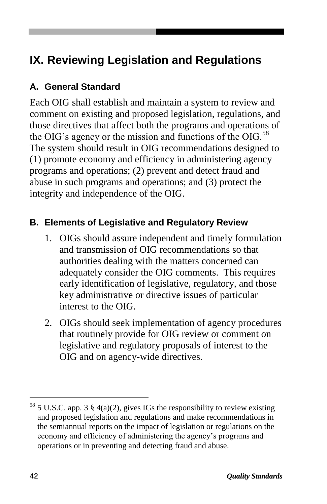## **IX. Reviewing Legislation and Regulations**

#### **A. General Standard**

Each OIG shall establish and maintain a system to review and comment on existing and proposed legislation, regulations, and those directives that affect both the programs and operations of the OIG's agency or the mission and functions of the OIG.<sup>58</sup> The system should result in OIG recommendations designed to (1) promote economy and efficiency in administering agency programs and operations; (2) prevent and detect fraud and abuse in such programs and operations; and (3) protect the integrity and independence of the OIG.

#### **B. Elements of Legislative and Regulatory Review**

- 1. OIGs should assure independent and timely formulation and transmission of OIG recommendations so that authorities dealing with the matters concerned can adequately consider the OIG comments. This requires early identification of legislative, regulatory, and those key administrative or directive issues of particular interest to the OIG.
- 2. OIGs should seek implementation of agency procedures that routinely provide for OIG review or comment on legislative and regulatory proposals of interest to the OIG and on agency-wide directives.

 $58$  5 U.S.C. app. 3 § 4(a)(2), gives IGs the responsibility to review existing and proposed legislation and regulations and make recommendations in the semiannual reports on the impact of legislation or regulations on the economy and efficiency of administering the agency's programs and operations or in preventing and detecting fraud and abuse.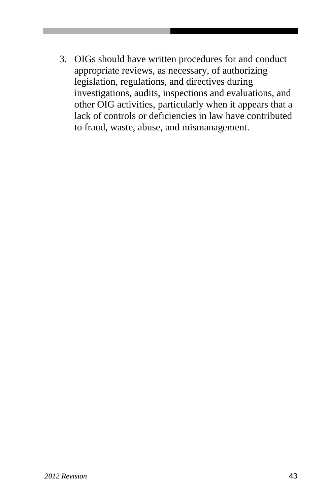3. OIGs should have written procedures for and conduct appropriate reviews, as necessary, of authorizing legislation, regulations, and directives during investigations, audits, inspections and evaluations, and other OIG activities, particularly when it appears that a lack of controls or deficiencies in law have contributed to fraud, waste, abuse, and mismanagement.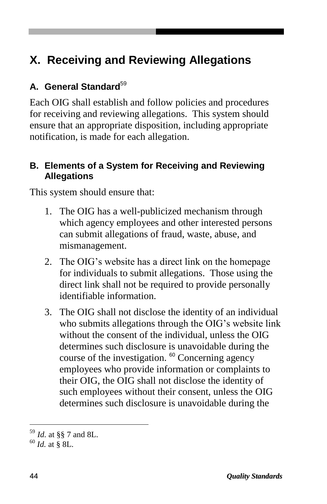## **X. Receiving and Reviewing Allegations**

#### **A. General Standard**<sup>59</sup>

Each OIG shall establish and follow policies and procedures for receiving and reviewing allegations. This system should ensure that an appropriate disposition, including appropriate notification, is made for each allegation.

#### **B. Elements of a System for Receiving and Reviewing Allegations**

This system should ensure that:

- 1. The OIG has a well-publicized mechanism through which agency employees and other interested persons can submit allegations of fraud, waste, abuse, and mismanagement.
- 2. The OIG's website has a direct link on the homepage for individuals to submit allegations. Those using the direct link shall not be required to provide personally identifiable information.
- 3. The OIG shall not disclose the identity of an individual who submits allegations through the OIG's website link without the consent of the individual, unless the OIG determines such disclosure is unavoidable during the course of the investigation.  $60$  Concerning agency employees who provide information or complaints to their OIG, the OIG shall not disclose the identity of such employees without their consent, unless the OIG determines such disclosure is unavoidable during the

<sup>59</sup> *Id.* at §§ 7 and 8L.

<sup>60</sup> *Id.* at § 8L.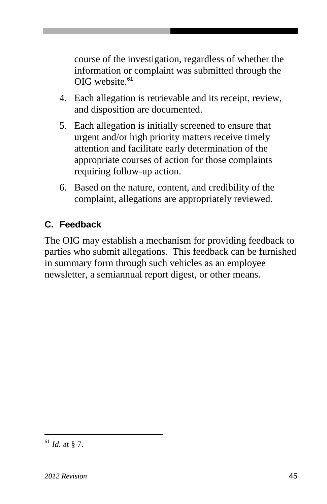course of the investigation, regardless of whether the information or complaint was submitted through the OIG website.<sup>61</sup>

- 4. Each allegation is retrievable and its receipt, review, and disposition are documented.
- 5. Each allegation is initially screened to ensure that urgent and/or high priority matters receive timely attention and facilitate early determination of the appropriate courses of action for those complaints requiring follow-up action.
- 6. Based on the nature, content, and credibility of the complaint, allegations are appropriately reviewed.

#### **C. Feedback**

The OIG may establish a mechanism for providing feedback to parties who submit allegations. This feedback can be furnished in summary form through such vehicles as an employee newsletter, a semiannual report digest, or other means.

 $^{61}$  *Id.* at § 7.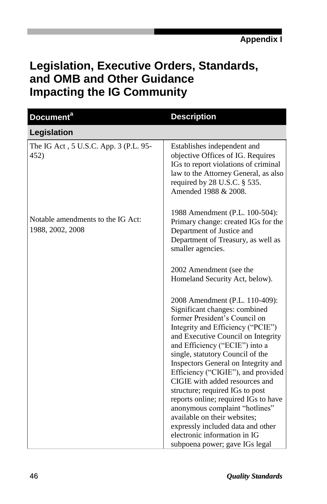## **Legislation, Executive Orders, Standards, and OMB and Other Guidance Impacting the IG Community**

| <b>Document</b> <sup>a</sup>                          | <b>Description</b>                                                                                                                                                                                                                                                                                                                                                                                                                                                                                                                                                                                                   |
|-------------------------------------------------------|----------------------------------------------------------------------------------------------------------------------------------------------------------------------------------------------------------------------------------------------------------------------------------------------------------------------------------------------------------------------------------------------------------------------------------------------------------------------------------------------------------------------------------------------------------------------------------------------------------------------|
| Legislation                                           |                                                                                                                                                                                                                                                                                                                                                                                                                                                                                                                                                                                                                      |
| The IG Act, 5 U.S.C. App. 3 (P.L. 95-<br>452)         | Establishes independent and<br>objective Offices of IG. Requires<br>IGs to report violations of criminal<br>law to the Attorney General, as also<br>required by $28$ U.S.C. $\S$ 535.<br>Amended 1988 & 2008.                                                                                                                                                                                                                                                                                                                                                                                                        |
| Notable amendments to the IG Act:<br>1988, 2002, 2008 | 1988 Amendment (P.L. 100-504):<br>Primary change: created IGs for the<br>Department of Justice and<br>Department of Treasury, as well as<br>smaller agencies.                                                                                                                                                                                                                                                                                                                                                                                                                                                        |
|                                                       | 2002 Amendment (see the<br>Homeland Security Act, below).                                                                                                                                                                                                                                                                                                                                                                                                                                                                                                                                                            |
|                                                       | 2008 Amendment (P.L. 110-409):<br>Significant changes: combined<br>former President's Council on<br>Integrity and Efficiency ("PCIE")<br>and Executive Council on Integrity<br>and Efficiency ("ECIE") into a<br>single, statutory Council of the<br>Inspectors General on Integrity and<br>Efficiency ("CIGIE"), and provided<br>CIGIE with added resources and<br>structure; required IGs to post<br>reports online; required IGs to have<br>anonymous complaint "hotlines"<br>available on their websites;<br>expressly included data and other<br>electronic information in IG<br>subpoena power; gave IGs legal |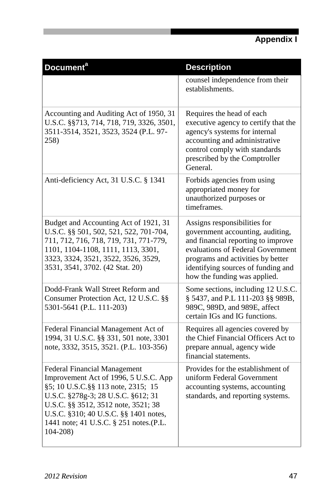| Document <sup>a</sup>                                                                                                                                                                                                                                                                             | <b>Description</b>                                                                                                                                                                                                                                     |
|---------------------------------------------------------------------------------------------------------------------------------------------------------------------------------------------------------------------------------------------------------------------------------------------------|--------------------------------------------------------------------------------------------------------------------------------------------------------------------------------------------------------------------------------------------------------|
|                                                                                                                                                                                                                                                                                                   | counsel independence from their<br>establishments.                                                                                                                                                                                                     |
| Accounting and Auditing Act of 1950, 31<br>U.S.C. §§713, 714, 718, 719, 3326, 3501,<br>3511-3514, 3521, 3523, 3524 (P.L. 97-<br>258)                                                                                                                                                              | Requires the head of each<br>executive agency to certify that the<br>agency's systems for internal<br>accounting and administrative<br>control comply with standards<br>prescribed by the Comptroller<br>General.                                      |
| Anti-deficiency Act, 31 U.S.C. § 1341                                                                                                                                                                                                                                                             | Forbids agencies from using<br>appropriated money for<br>unauthorized purposes or<br>timeframes.                                                                                                                                                       |
| Budget and Accounting Act of 1921, 31<br>U.S.C. §§ 501, 502, 521, 522, 701-704,<br>711, 712, 716, 718, 719, 731, 771-779,<br>1101, 1104-1108, 1111, 1113, 3301,<br>3323, 3324, 3521, 3522, 3526, 3529,<br>3531, 3541, 3702. (42 Stat. 20)                                                         | Assigns responsibilities for<br>government accounting, auditing,<br>and financial reporting to improve<br>evaluations of Federal Government<br>programs and activities by better<br>identifying sources of funding and<br>how the funding was applied. |
| Dodd-Frank Wall Street Reform and<br>Consumer Protection Act, 12 U.S.C. §§<br>5301-5641 (P.L. 111-203)                                                                                                                                                                                            | Some sections, including 12 U.S.C.<br>§ 5437, and P.L 111-203 §§ 989B,<br>989C, 989D, and 989E, affect<br>certain IGs and IG functions.                                                                                                                |
| Federal Financial Management Act of<br>1994, 31 U.S.C. §§ 331, 501 note, 3301<br>note, 3332, 3515, 3521. (P.L. 103-356)                                                                                                                                                                           | Requires all agencies covered by<br>the Chief Financial Officers Act to<br>prepare annual, agency wide<br>financial statements.                                                                                                                        |
| <b>Federal Financial Management</b><br>Improvement Act of 1996, 5 U.S.C. App<br>§5; 10 U.S.C.§§ 113 note, 2315; 15<br>U.S.C. §278g-3; 28 U.S.C. §612; 31<br>U.S.C. §§ 3512, 3512 note, 3521; 38<br>U.S.C. §310; 40 U.S.C. §§ 1401 notes,<br>1441 note; 41 U.S.C. § 251 notes.(P.L.<br>$104 - 208$ | Provides for the establishment of<br>uniform Federal Government<br>accounting systems, accounting<br>standards, and reporting systems.                                                                                                                 |

Г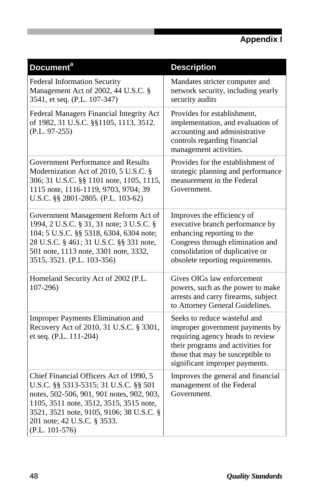| <b>Document<sup>a</sup></b>                                                                                                                                                                                                                                             | <b>Description</b>                                                                                                                                                                                             |
|-------------------------------------------------------------------------------------------------------------------------------------------------------------------------------------------------------------------------------------------------------------------------|----------------------------------------------------------------------------------------------------------------------------------------------------------------------------------------------------------------|
| Federal Information Security<br>Management Act of 2002, 44 U.S.C. §<br>3541, et seq. (P.L. 107-347)                                                                                                                                                                     | Mandates stricter computer and<br>network security, including yearly<br>security audits                                                                                                                        |
| Federal Managers Financial Integrity Act<br>of 1982, 31 U.S.C. §§1105, 1113, 3512.<br>$(P.L. 97-255)$                                                                                                                                                                   | Provides for establishment,<br>implementation, and evaluation of<br>accounting and administrative<br>controls regarding financial<br>management activities.                                                    |
| Government Performance and Results<br>Modernization Act of 2010, 5 U.S.C. §<br>306; 31 U.S.C. §§ 1101 note, 1105, 1115,<br>1115 note, 1116-1119, 9703, 9704; 39<br>U.S.C. §§ 2801-2805. (P.L. 103-62)                                                                   | Provides for the establishment of<br>strategic planning and performance<br>measurement in the Federal<br>Government.                                                                                           |
| Government Management Reform Act of<br>1994, 2 U.S.C. § 31, 31 note; 3 U.S.C. §<br>104; 5 U.S.C. §§ 5318, 6304, 6304 note;<br>28 U.S.C. § 461; 31 U.S.C. §§ 331 note,<br>501 note, 1113 note, 3301 note, 3332,<br>3515, 3521. (P.L. 103-356)                            | Improves the efficiency of<br>executive branch performance by<br>enhancing reporting to the<br>Congress through elimination and<br>consolidation of duplicative or<br>obsolete reporting requirements.         |
| Homeland Security Act of 2002 (P.L.<br>$107 - 296$                                                                                                                                                                                                                      | Gives OIGs law enforcement<br>powers, such as the power to make<br>arrests and carry firearms, subject<br>to Attorney General Guidelines.                                                                      |
| Improper Payments Elimination and<br>Recovery Act of 2010, 31 U.S.C. § 3301,<br>et seq. (P.L. 111-204)                                                                                                                                                                  | Seeks to reduce wasteful and<br>improper government payments by<br>requiring agency heads to review<br>their programs and activities for<br>those that may be susceptible to<br>significant improper payments. |
| Chief Financial Officers Act of 1990, 5<br>U.S.C. §§ 5313-5315; 31 U.S.C. §§ 501<br>notes, 502-506, 901, 901 notes, 902, 903,<br>1105, 3511 note, 3512, 3515, 3515 note,<br>3521, 3521 note, 9105, 9106; 38 U.S.C. §<br>201 note; 42 U.S.C. § 3533.<br>$(P.L. 101-576)$ | Improves the general and financial<br>management of the Federal<br>Government.                                                                                                                                 |

I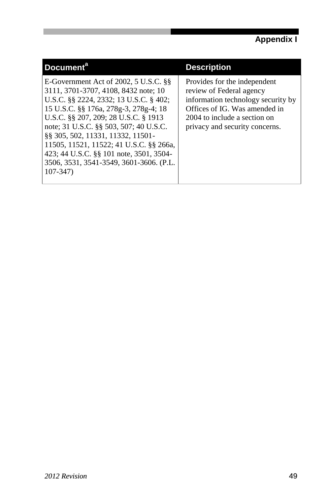| Document <sup>a</sup>                                                                                                                                                                                                                                                                                                                                                                                                                       | <b>Description</b>                                                                                                                                                                                |
|---------------------------------------------------------------------------------------------------------------------------------------------------------------------------------------------------------------------------------------------------------------------------------------------------------------------------------------------------------------------------------------------------------------------------------------------|---------------------------------------------------------------------------------------------------------------------------------------------------------------------------------------------------|
| E-Government Act of $2002, 5$ U.S.C. $\S$<br>3111, 3701-3707, 4108, 8432 note; 10<br>U.S.C. §§ 2224, 2332; 13 U.S.C. § 402;<br>15 U.S.C. §§ 176a, 278g-3, 278g-4; 18<br>U.S.C. §§ 207, 209; 28 U.S.C. § 1913<br>note; 31 U.S.C. §§ 503, 507; 40 U.S.C.<br>88 305, 502, 11331, 11332, 11501-<br>11505, 11521, 11522; 41 U.S.C. §§ 266a,<br>423; 44 U.S.C. §§ 101 note, 3501, 3504-<br>3506, 3531, 3541-3549, 3601-3606. (P.L.<br>$107 - 347$ | Provides for the independent<br>review of Federal agency<br>information technology security by<br>Offices of IG. Was amended in<br>2004 to include a section on<br>privacy and security concerns. |

п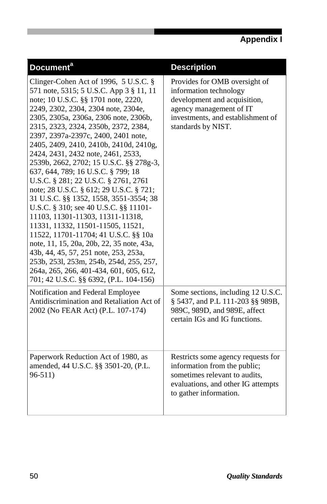| Document <sup>a</sup>                                                                                                                                                                                                                                                                                                                                                                                                                                                                                                                                                                                                                                                                                                                                                                                                                                                                                                                                                  | <b>Description</b>                                                                                                                                                            |
|------------------------------------------------------------------------------------------------------------------------------------------------------------------------------------------------------------------------------------------------------------------------------------------------------------------------------------------------------------------------------------------------------------------------------------------------------------------------------------------------------------------------------------------------------------------------------------------------------------------------------------------------------------------------------------------------------------------------------------------------------------------------------------------------------------------------------------------------------------------------------------------------------------------------------------------------------------------------|-------------------------------------------------------------------------------------------------------------------------------------------------------------------------------|
| Clinger-Cohen Act of 1996, $5$ U.S.C. §<br>571 note, 5315; 5 U.S.C. App 3 § 11, 11<br>note; 10 U.S.C. §§ 1701 note, 2220,<br>2249, 2302, 2304, 2304 note, 2304e,<br>2305, 2305a, 2306a, 2306 note, 2306b,<br>2315, 2323, 2324, 2350b, 2372, 2384,<br>2397, 2397a-2397c, 2400, 2401 note,<br>2405, 2409, 2410, 2410b, 2410d, 2410g,<br>2424, 2431, 2432 note, 2461, 2533,<br>2539b, 2662, 2702; 15 U.S.C. §§ 278g-3,<br>637, 644, 789; 16 U.S.C. § 799; 18<br>U.S.C. § 281; 22 U.S.C. § 2761, 2761<br>note; 28 U.S.C. § 612; 29 U.S.C. § 721;<br>31 U.S.C. §§ 1352, 1558, 3551-3554; 38<br>U.S.C. § 310; see 40 U.S.C. §§ 11101-<br>11103, 11301-11303, 11311-11318,<br>11331, 11332, 11501-11505, 11521,<br>11522, 11701-11704; 41 U.S.C. §§ 10a<br>note, 11, 15, 20a, 20b, 22, 35 note, 43a,<br>43b, 44, 45, 57, 251 note, 253, 253a,<br>253b, 253l, 253m, 254b, 254d, 255, 257,<br>264a, 265, 266, 401-434, 601, 605, 612,<br>701; 42 U.S.C. §§ 6392, (P.L. 104-156) | Provides for OMB oversight of<br>information technology<br>development and acquisition,<br>agency management of IT<br>investments, and establishment of<br>standards by NIST. |
| Notification and Federal Employee<br>Antidiscrimination and Retaliation Act of<br>2002 (No FEAR Act) (P.L. 107-174)                                                                                                                                                                                                                                                                                                                                                                                                                                                                                                                                                                                                                                                                                                                                                                                                                                                    | Some sections, including 12 U.S.C.<br>§ 5437, and P.L 111-203 §§ 989B,<br>989C, 989D, and 989E, affect<br>certain IGs and IG functions.                                       |
| Paperwork Reduction Act of 1980, as<br>amended, 44 U.S.C. §§ 3501-20, (P.L.<br>$96 - 511$                                                                                                                                                                                                                                                                                                                                                                                                                                                                                                                                                                                                                                                                                                                                                                                                                                                                              | Restricts some agency requests for<br>information from the public;<br>sometimes relevant to audits,<br>evaluations, and other IG attempts<br>to gather information.           |

I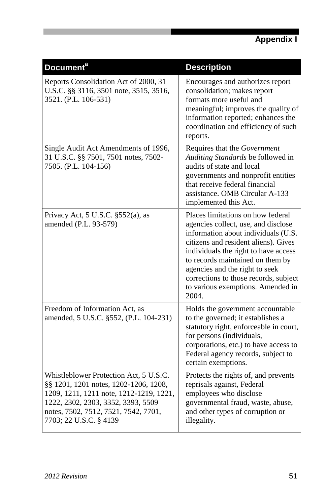| Document <sup>a</sup>                                                                                                                                                                                                              | <b>Description</b>                                                                                                                                                                                                                                                                                                                                           |
|------------------------------------------------------------------------------------------------------------------------------------------------------------------------------------------------------------------------------------|--------------------------------------------------------------------------------------------------------------------------------------------------------------------------------------------------------------------------------------------------------------------------------------------------------------------------------------------------------------|
| Reports Consolidation Act of 2000, 31<br>U.S.C. §§ 3116, 3501 note, 3515, 3516,<br>3521. (P.L. 106-531)                                                                                                                            | Encourages and authorizes report<br>consolidation; makes report<br>formats more useful and<br>meaningful; improves the quality of<br>information reported; enhances the<br>coordination and efficiency of such<br>reports.                                                                                                                                   |
| Single Audit Act Amendments of 1996,<br>31 U.S.C. §§ 7501, 7501 notes, 7502-<br>7505. (P.L. 104-156)                                                                                                                               | Requires that the Government<br>Auditing Standards be followed in<br>audits of state and local<br>governments and nonprofit entities<br>that receive federal financial<br>assistance. OMB Circular A-133<br>implemented this Act.                                                                                                                            |
| Privacy Act, $5$ U.S.C. $$552(a)$ , as<br>amended (P.L. 93-579)                                                                                                                                                                    | Places limitations on how federal<br>agencies collect, use, and disclose<br>information about individuals (U.S.<br>citizens and resident aliens). Gives<br>individuals the right to have access<br>to records maintained on them by<br>agencies and the right to seek<br>corrections to those records, subject<br>to various exemptions. Amended in<br>2004. |
| Freedom of Information Act, as<br>amended, 5 U.S.C. §552, (P.L. 104-231)                                                                                                                                                           | Holds the government accountable<br>to the governed; it establishes a<br>statutory right, enforceable in court,<br>for persons (individuals,<br>corporations, etc.) to have access to<br>Federal agency records, subject to<br>certain exemptions.                                                                                                           |
| Whistleblower Protection Act, 5 U.S.C.<br>§§ 1201, 1201 notes, 1202-1206, 1208,<br>1209, 1211, 1211 note, 1212-1219, 1221,<br>1222, 2302, 2303, 3352, 3393, 5509<br>notes, 7502, 7512, 7521, 7542, 7701,<br>7703; 22 U.S.C. § 4139 | Protects the rights of, and prevents<br>reprisals against, Federal<br>employees who disclose<br>governmental fraud, waste, abuse,<br>and other types of corruption or<br>illegality.                                                                                                                                                                         |

Г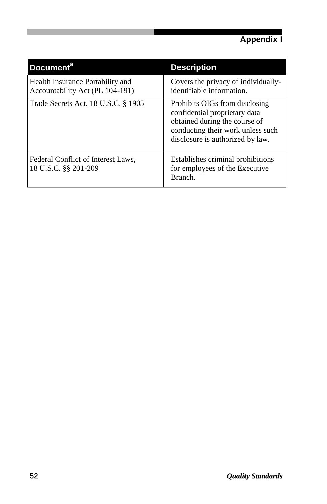| <b>Document<sup>a</sup></b>                                         | <b>Description</b>                                                                                                                                                        |
|---------------------------------------------------------------------|---------------------------------------------------------------------------------------------------------------------------------------------------------------------------|
| Health Insurance Portability and<br>Accountability Act (PL 104-191) | Covers the privacy of individually-<br>identifiable information.                                                                                                          |
| Trade Secrets Act, 18 U.S.C. § 1905                                 | Prohibits OIGs from disclosing<br>confidential proprietary data<br>obtained during the course of<br>conducting their work unless such<br>disclosure is authorized by law. |
| Federal Conflict of Interest Laws,<br>18 U.S.C. §§ 201-209          | Establishes criminal prohibitions<br>for employees of the Executive<br>Branch.                                                                                            |

I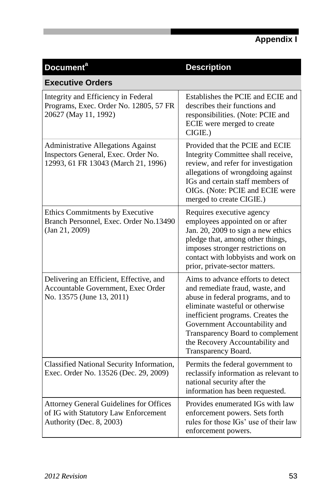| <b>Document<sup>a</sup></b>                                                                                        | <b>Description</b>                                                                                                                                                                                                                                                                                               |  |  |
|--------------------------------------------------------------------------------------------------------------------|------------------------------------------------------------------------------------------------------------------------------------------------------------------------------------------------------------------------------------------------------------------------------------------------------------------|--|--|
| <b>Executive Orders</b>                                                                                            |                                                                                                                                                                                                                                                                                                                  |  |  |
| Integrity and Efficiency in Federal<br>Programs, Exec. Order No. 12805, 57 FR<br>20627 (May 11, 1992)              | Establishes the PCIE and ECIE and<br>describes their functions and<br>responsibilities. (Note: PCIE and<br>ECIE were merged to create<br>CIGIE.)                                                                                                                                                                 |  |  |
| Administrative Allegations Against<br>Inspectors General, Exec. Order No.<br>12993, 61 FR 13043 (March 21, 1996)   | Provided that the PCIE and ECIE<br>Integrity Committee shall receive,<br>review, and refer for investigation<br>allegations of wrongdoing against<br>IGs and certain staff members of<br>OIGs. (Note: PCIE and ECIE were<br>merged to create CIGIE.)                                                             |  |  |
| Ethics Commitments by Executive<br>Branch Personnel, Exec. Order No.13490<br>(Jan 21, 2009)                        | Requires executive agency<br>employees appointed on or after<br>Jan. 20, 2009 to sign a new ethics<br>pledge that, among other things,<br>imposes stronger restrictions on<br>contact with lobbyists and work on<br>prior, private-sector matters.                                                               |  |  |
| Delivering an Efficient, Effective, and<br>Accountable Government, Exec Order<br>No. 13575 (June 13, 2011)         | Aims to advance efforts to detect<br>and remediate fraud, waste, and<br>abuse in federal programs, and to<br>eliminate wasteful or otherwise<br>inefficient programs. Creates the<br>Government Accountability and<br>Transparency Board to complement<br>the Recovery Accountability and<br>Transparency Board. |  |  |
| Classified National Security Information,<br>Exec. Order No. 13526 (Dec. 29, 2009)                                 | Permits the federal government to<br>reclassify information as relevant to<br>national security after the<br>information has been requested.                                                                                                                                                                     |  |  |
| <b>Attorney General Guidelines for Offices</b><br>of IG with Statutory Law Enforcement<br>Authority (Dec. 8, 2003) | Provides enumerated IGs with law<br>enforcement powers. Sets forth<br>rules for those IGs' use of their law<br>enforcement powers.                                                                                                                                                                               |  |  |

П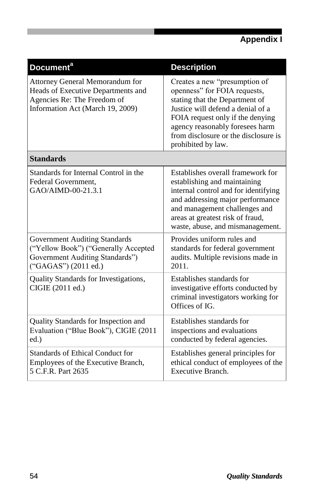| Document <sup>a</sup>                                                                                                                           | <b>Description</b>                                                                                                                                                                                                                                                        |
|-------------------------------------------------------------------------------------------------------------------------------------------------|---------------------------------------------------------------------------------------------------------------------------------------------------------------------------------------------------------------------------------------------------------------------------|
| <b>Attorney General Memorandum for</b><br>Heads of Executive Departments and<br>Agencies Re: The Freedom of<br>Information Act (March 19, 2009) | Creates a new "presumption of<br>openness" for FOIA requests,<br>stating that the Department of<br>Justice will defend a denial of a<br>FOIA request only if the denying<br>agency reasonably foresees harm<br>from disclosure or the disclosure is<br>prohibited by law. |
| <b>Standards</b>                                                                                                                                |                                                                                                                                                                                                                                                                           |
| Standards for Internal Control in the<br>Federal Government,<br>GAO/AIMD-00-21.3.1                                                              | Establishes overall framework for<br>establishing and maintaining<br>internal control and for identifying<br>and addressing major performance<br>and management challenges and<br>areas at greatest risk of fraud,<br>waste, abuse, and mismanagement.                    |
| <b>Government Auditing Standards</b><br>("Yellow Book") ("Generally Accepted<br>Government Auditing Standards")<br>("GAGAS") (2011 ed.)         | Provides uniform rules and<br>standards for federal government<br>audits. Multiple revisions made in<br>2011.                                                                                                                                                             |
| Quality Standards for Investigations,<br>CIGIE (2011 ed.)                                                                                       | Establishes standards for<br>investigative efforts conducted by<br>criminal investigators working for<br>Offices of IG.                                                                                                                                                   |
| Quality Standards for Inspection and<br>Evaluation ("Blue Book"), CIGIE (2011<br>ed.)                                                           | Establishes standards for<br>inspections and evaluations<br>conducted by federal agencies.                                                                                                                                                                                |
| <b>Standards of Ethical Conduct for</b><br>Employees of the Executive Branch,<br>5 C.F.R. Part 2635                                             | Establishes general principles for<br>ethical conduct of employees of the<br>Executive Branch.                                                                                                                                                                            |

I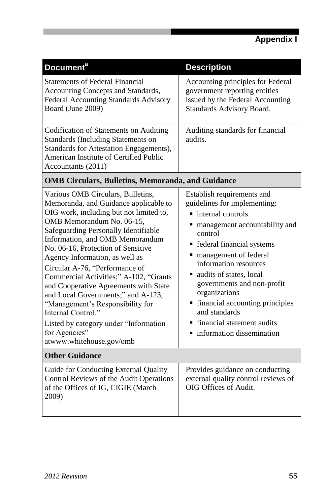| Document <sup>a</sup>                                                                                                                                                                                                                                                                                                                                                                                                                                                                                                                                                                                           | <b>Description</b>                                                                                                                                                                                                                                                                                                                                                                                                                    |
|-----------------------------------------------------------------------------------------------------------------------------------------------------------------------------------------------------------------------------------------------------------------------------------------------------------------------------------------------------------------------------------------------------------------------------------------------------------------------------------------------------------------------------------------------------------------------------------------------------------------|---------------------------------------------------------------------------------------------------------------------------------------------------------------------------------------------------------------------------------------------------------------------------------------------------------------------------------------------------------------------------------------------------------------------------------------|
| <b>Statements of Federal Financial</b><br>Accounting Concepts and Standards,<br>Federal Accounting Standards Advisory<br>Board (June 2009)                                                                                                                                                                                                                                                                                                                                                                                                                                                                      | Accounting principles for Federal<br>government reporting entities<br>issued by the Federal Accounting<br>Standards Advisory Board.                                                                                                                                                                                                                                                                                                   |
| Codification of Statements on Auditing<br>Standards (Including Statements on<br>Standards for Attestation Engagements),<br>American Institute of Certified Public<br>Accountants (2011)                                                                                                                                                                                                                                                                                                                                                                                                                         | Auditing standards for financial<br>audits.                                                                                                                                                                                                                                                                                                                                                                                           |
| <b>OMB Circulars, Bulletins, Memoranda, and Guidance</b>                                                                                                                                                                                                                                                                                                                                                                                                                                                                                                                                                        |                                                                                                                                                                                                                                                                                                                                                                                                                                       |
| Various OMB Circulars, Bulletins,<br>Memoranda, and Guidance applicable to<br>OIG work, including but not limited to,<br>OMB Memorandum No. 06-15.<br>Safeguarding Personally Identifiable<br>Information, and OMB Memorandum<br>No. 06-16, Protection of Sensitive<br>Agency Information, as well as<br>Circular A-76, "Performance of<br>Commercial Activities;" A-102, "Grants<br>and Cooperative Agreements with State<br>and Local Governments;" and A-123,<br>"Management's Responsibility for<br>Internal Control"<br>Listed by category under "Information<br>for Agencies"<br>atwww.whitehouse.gov/omb | Establish requirements and<br>guidelines for implementing:<br>$\blacksquare$ internal controls<br>• management accountability and<br>control<br>• federal financial systems<br>• management of federal<br>information resources<br>ultimate audits of states, local<br>governments and non-profit<br>organizations<br>• financial accounting principles<br>and standards<br>• financial statement audits<br>information dissemination |
| <b>Other Guidance</b>                                                                                                                                                                                                                                                                                                                                                                                                                                                                                                                                                                                           |                                                                                                                                                                                                                                                                                                                                                                                                                                       |
| Guide for Conducting External Quality<br>Control Reviews of the Audit Operations<br>of the Offices of IG, CIGIE (March<br>2009)                                                                                                                                                                                                                                                                                                                                                                                                                                                                                 | Provides guidance on conducting<br>external quality control reviews of<br>OIG Offices of Audit.                                                                                                                                                                                                                                                                                                                                       |

п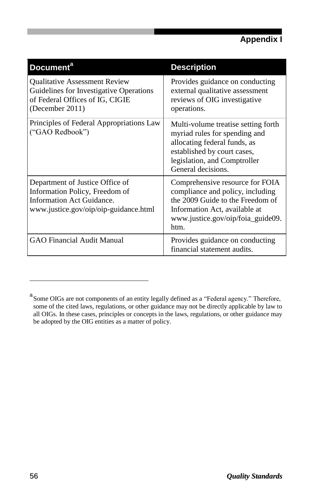| <b>Document<sup>a</sup></b>                                                                                                             | <b>Description</b>                                                                                                                                                                         |
|-----------------------------------------------------------------------------------------------------------------------------------------|--------------------------------------------------------------------------------------------------------------------------------------------------------------------------------------------|
| <b>Qualitative Assessment Review</b><br>Guidelines for Investigative Operations<br>of Federal Offices of IG, CIGIE<br>(December 2011)   | Provides guidance on conducting<br>external qualitative assessment<br>reviews of OIG investigative<br>operations.                                                                          |
| Principles of Federal Appropriations Law<br>("GAO Redbook")                                                                             | Multi-volume treatise setting forth.<br>myriad rules for spending and<br>allocating federal funds, as<br>established by court cases,<br>legislation, and Comptroller<br>General decisions. |
| Department of Justice Office of<br>Information Policy, Freedom of<br>Information Act Guidance.<br>www.justice.gov/oip/oip-guidance.html | Comprehensive resource for FOIA<br>compliance and policy, including<br>the 2009 Guide to the Freedom of<br>Information Act, available at<br>www.justice.gov/oip/foia_guide09.<br>htm.      |
| <b>GAO Financial Audit Manual</b>                                                                                                       | Provides guidance on conducting<br>financial statement audits.                                                                                                                             |

a<br>Some OIGs are not components of an entity legally defined as a "Federal agency." Therefore, some of the cited laws, regulations, or other guidance may not be directly applicable by law to all OIGs. In these cases, principles or concepts in the laws, regulations, or other guidance may be adopted by the OIG entities as a matter of policy.